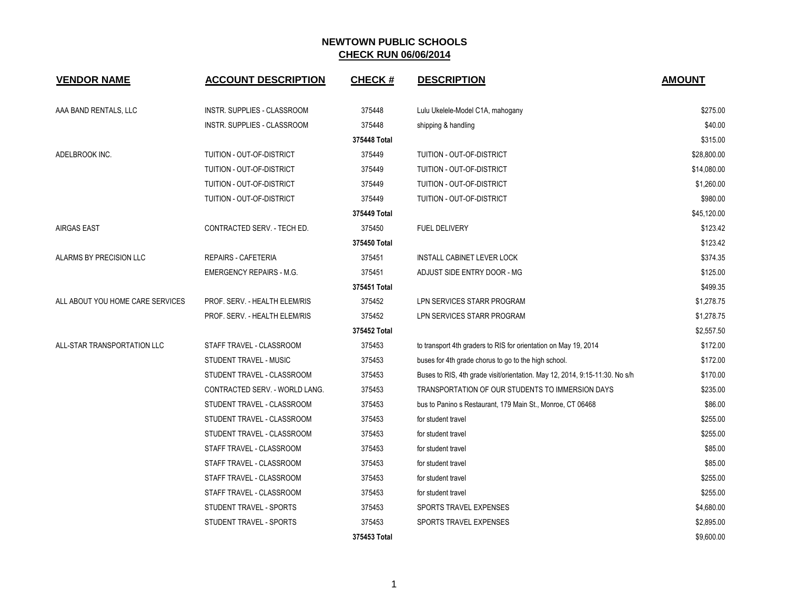| <b>VENDOR NAME</b>               | <b>ACCOUNT DESCRIPTION</b>      | <b>CHECK#</b> | <b>DESCRIPTION</b>                                                          | <b>AMOUNT</b> |
|----------------------------------|---------------------------------|---------------|-----------------------------------------------------------------------------|---------------|
| AAA BAND RENTALS, LLC            | INSTR. SUPPLIES - CLASSROOM     | 375448        | Lulu Ukelele-Model C1A, mahogany                                            | \$275.00      |
|                                  | INSTR. SUPPLIES - CLASSROOM     | 375448        | shipping & handling                                                         | \$40.00       |
|                                  |                                 | 375448 Total  |                                                                             | \$315.00      |
| ADELBROOK INC.                   | TUITION - OUT-OF-DISTRICT       | 375449        | TUITION - OUT-OF-DISTRICT                                                   | \$28,800.00   |
|                                  | TUITION - OUT-OF-DISTRICT       | 375449        | TUITION - OUT-OF-DISTRICT                                                   | \$14,080.00   |
|                                  | TUITION - OUT-OF-DISTRICT       | 375449        | TUITION - OUT-OF-DISTRICT                                                   | \$1,260.00    |
|                                  | TUITION - OUT-OF-DISTRICT       | 375449        | TUITION - OUT-OF-DISTRICT                                                   | \$980.00      |
|                                  |                                 | 375449 Total  |                                                                             | \$45,120.00   |
| <b>AIRGAS EAST</b>               | CONTRACTED SERV. - TECH ED.     | 375450        | <b>FUEL DELIVERY</b>                                                        | \$123.42      |
|                                  |                                 | 375450 Total  |                                                                             | \$123.42      |
| ALARMS BY PRECISION LLC          | <b>REPAIRS - CAFETERIA</b>      | 375451        | <b>INSTALL CABINET LEVER LOCK</b>                                           | \$374.35      |
|                                  | <b>EMERGENCY REPAIRS - M.G.</b> | 375451        | ADJUST SIDE ENTRY DOOR - MG                                                 | \$125.00      |
|                                  |                                 | 375451 Total  |                                                                             | \$499.35      |
| ALL ABOUT YOU HOME CARE SERVICES | PROF. SERV. - HEALTH ELEM/RIS   | 375452        | LPN SERVICES STARR PROGRAM                                                  | \$1,278.75    |
|                                  | PROF. SERV. - HEALTH ELEM/RIS   | 375452        | LPN SERVICES STARR PROGRAM                                                  | \$1,278.75    |
|                                  |                                 | 375452 Total  |                                                                             | \$2,557.50    |
| ALL-STAR TRANSPORTATION LLC      | STAFF TRAVEL - CLASSROOM        | 375453        | to transport 4th graders to RIS for orientation on May 19, 2014             | \$172.00      |
|                                  | STUDENT TRAVEL - MUSIC          | 375453        | buses for 4th grade chorus to go to the high school.                        | \$172.00      |
|                                  | STUDENT TRAVEL - CLASSROOM      | 375453        | Buses to RIS, 4th grade visit/orientation. May 12, 2014, 9:15-11:30. No s/h | \$170.00      |
|                                  | CONTRACTED SERV. - WORLD LANG.  | 375453        | TRANSPORTATION OF OUR STUDENTS TO IMMERSION DAYS                            | \$235.00      |
|                                  | STUDENT TRAVEL - CLASSROOM      | 375453        | bus to Panino s Restaurant, 179 Main St., Monroe, CT 06468                  | \$86.00       |
|                                  | STUDENT TRAVEL - CLASSROOM      | 375453        | for student travel                                                          | \$255.00      |
|                                  | STUDENT TRAVEL - CLASSROOM      | 375453        | for student travel                                                          | \$255.00      |
|                                  | STAFF TRAVEL - CLASSROOM        | 375453        | for student travel                                                          | \$85.00       |
|                                  | STAFF TRAVEL - CLASSROOM        | 375453        | for student travel                                                          | \$85.00       |
|                                  | STAFF TRAVEL - CLASSROOM        | 375453        | for student travel                                                          | \$255.00      |
|                                  | STAFF TRAVEL - CLASSROOM        | 375453        | for student travel                                                          | \$255.00      |
|                                  | STUDENT TRAVEL - SPORTS         | 375453        | SPORTS TRAVEL EXPENSES                                                      | \$4,680.00    |
|                                  | STUDENT TRAVEL - SPORTS         | 375453        | SPORTS TRAVEL EXPENSES                                                      | \$2,895.00    |
|                                  |                                 | 375453 Total  |                                                                             | \$9,600.00    |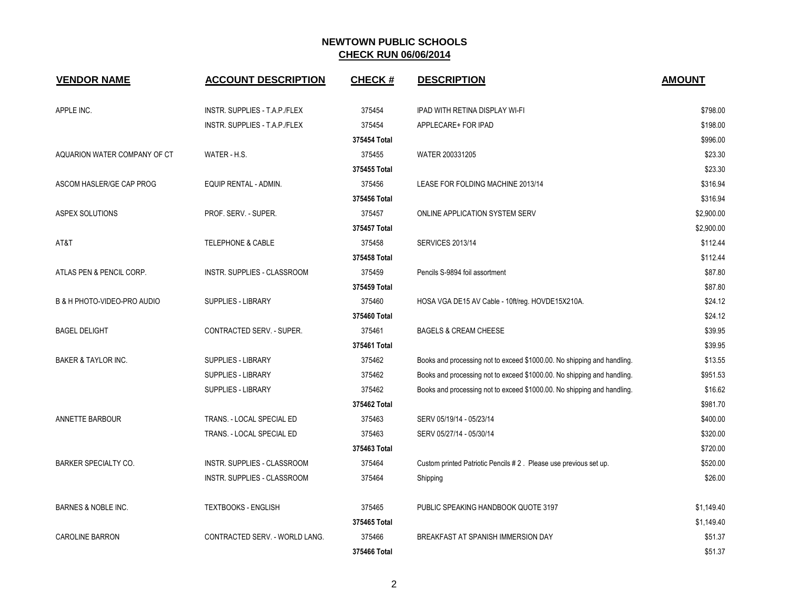| <b>VENDOR NAME</b>             | <b>ACCOUNT DESCRIPTION</b>     | <b>CHECK#</b> | <b>DESCRIPTION</b>                                                      | <b>AMOUNT</b> |
|--------------------------------|--------------------------------|---------------|-------------------------------------------------------------------------|---------------|
| APPLE INC.                     | INSTR. SUPPLIES - T.A.P./FLEX  | 375454        | <b>IPAD WITH RETINA DISPLAY WI-FI</b>                                   | \$798.00      |
|                                | INSTR. SUPPLIES - T.A.P./FLEX  | 375454        | APPLECARE+ FOR IPAD                                                     | \$198.00      |
|                                |                                | 375454 Total  |                                                                         | \$996.00      |
| AQUARION WATER COMPANY OF CT   | WATER - H.S.                   | 375455        | WATER 200331205                                                         | \$23.30       |
|                                |                                | 375455 Total  |                                                                         | \$23.30       |
| ASCOM HASLER/GE CAP PROG       | EQUIP RENTAL - ADMIN.          | 375456        | LEASE FOR FOLDING MACHINE 2013/14                                       | \$316.94      |
|                                |                                | 375456 Total  |                                                                         | \$316.94      |
| <b>ASPEX SOLUTIONS</b>         | PROF. SERV. - SUPER.           | 375457        | ONLINE APPLICATION SYSTEM SERV                                          | \$2,900.00    |
|                                |                                | 375457 Total  |                                                                         | \$2,900.00    |
| AT&T                           | <b>TELEPHONE &amp; CABLE</b>   | 375458        | <b>SERVICES 2013/14</b>                                                 | \$112.44      |
|                                |                                | 375458 Total  |                                                                         | \$112.44      |
| ATLAS PEN & PENCIL CORP.       | INSTR. SUPPLIES - CLASSROOM    | 375459        | Pencils S-9894 foil assortment                                          | \$87.80       |
|                                |                                | 375459 Total  |                                                                         | \$87.80       |
| B & H PHOTO-VIDEO-PRO AUDIO    | <b>SUPPLIES - LIBRARY</b>      | 375460        | HOSA VGA DE15 AV Cable - 10ft/reg. HOVDE15X210A.                        | \$24.12       |
|                                |                                | 375460 Total  |                                                                         | \$24.12       |
| <b>BAGEL DELIGHT</b>           | CONTRACTED SERV. - SUPER.      | 375461        | <b>BAGELS &amp; CREAM CHEESE</b>                                        | \$39.95       |
|                                |                                | 375461 Total  |                                                                         | \$39.95       |
| <b>BAKER &amp; TAYLOR INC.</b> | SUPPLIES - LIBRARY             | 375462        | Books and processing not to exceed \$1000.00. No shipping and handling. | \$13.55       |
|                                | SUPPLIES - LIBRARY             | 375462        | Books and processing not to exceed \$1000.00. No shipping and handling. | \$951.53      |
|                                | <b>SUPPLIES - LIBRARY</b>      | 375462        | Books and processing not to exceed \$1000.00. No shipping and handling. | \$16.62       |
|                                |                                | 375462 Total  |                                                                         | \$981.70      |
| ANNETTE BARBOUR                | TRANS. - LOCAL SPECIAL ED      | 375463        | SERV 05/19/14 - 05/23/14                                                | \$400.00      |
|                                | TRANS. - LOCAL SPECIAL ED      | 375463        | SERV 05/27/14 - 05/30/14                                                | \$320.00      |
|                                |                                | 375463 Total  |                                                                         | \$720.00      |
| <b>BARKER SPECIALTY CO.</b>    | INSTR. SUPPLIES - CLASSROOM    | 375464        | Custom printed Patriotic Pencils #2. Please use previous set up.        | \$520.00      |
|                                | INSTR. SUPPLIES - CLASSROOM    | 375464        | Shipping                                                                | \$26.00       |
| <b>BARNES &amp; NOBLE INC.</b> | <b>TEXTBOOKS - ENGLISH</b>     | 375465        | PUBLIC SPEAKING HANDBOOK QUOTE 3197                                     | \$1,149.40    |
|                                |                                | 375465 Total  |                                                                         | \$1,149.40    |
| <b>CAROLINE BARRON</b>         | CONTRACTED SERV. - WORLD LANG. | 375466        | BREAKFAST AT SPANISH IMMERSION DAY                                      | \$51.37       |
|                                |                                | 375466 Total  |                                                                         | \$51.37       |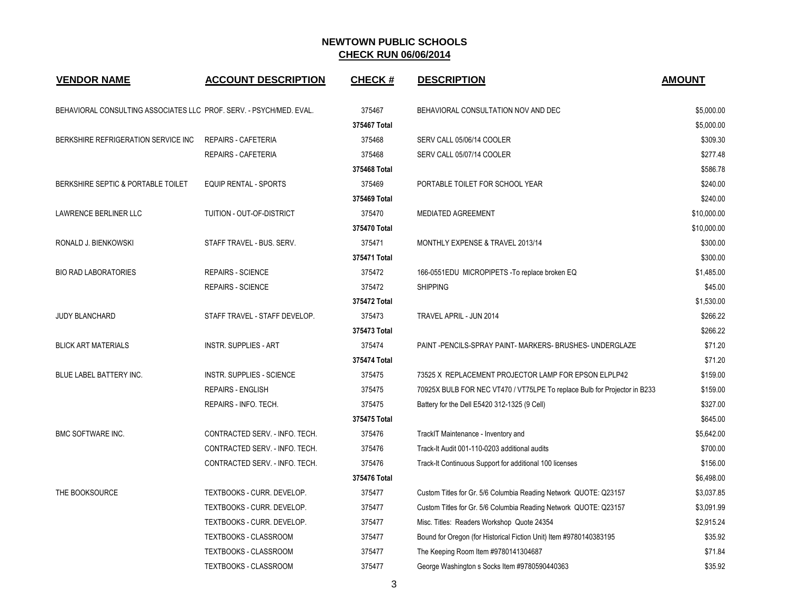| <b>VENDOR NAME</b>                                                  | <b>ACCOUNT DESCRIPTION</b>       | <b>CHECK#</b> | <b>DESCRIPTION</b>                                                        | <b>AMOUNT</b> |
|---------------------------------------------------------------------|----------------------------------|---------------|---------------------------------------------------------------------------|---------------|
| BEHAVIORAL CONSULTING ASSOCIATES LLC PROF. SERV. - PSYCH/MED. EVAL. |                                  | 375467        | BEHAVIORAL CONSULTATION NOV AND DEC                                       | \$5,000.00    |
|                                                                     |                                  | 375467 Total  |                                                                           | \$5,000.00    |
| BERKSHIRE REFRIGERATION SERVICE INC                                 | REPAIRS - CAFETERIA              | 375468        | SERV CALL 05/06/14 COOLER                                                 | \$309.30      |
|                                                                     | REPAIRS - CAFETERIA              | 375468        | SERV CALL 05/07/14 COOLER                                                 | \$277.48      |
|                                                                     |                                  | 375468 Total  |                                                                           | \$586.78      |
| BERKSHIRE SEPTIC & PORTABLE TOILET                                  | <b>EQUIP RENTAL - SPORTS</b>     | 375469        | PORTABLE TOILET FOR SCHOOL YEAR                                           | \$240.00      |
|                                                                     |                                  | 375469 Total  |                                                                           | \$240.00      |
| LAWRENCE BERLINER LLC                                               | TUITION - OUT-OF-DISTRICT        | 375470        | <b>MEDIATED AGREEMENT</b>                                                 | \$10,000.00   |
|                                                                     |                                  | 375470 Total  |                                                                           | \$10,000.00   |
| RONALD J. BIENKOWSKI                                                | STAFF TRAVEL - BUS. SERV.        | 375471        | MONTHLY EXPENSE & TRAVEL 2013/14                                          | \$300.00      |
|                                                                     |                                  | 375471 Total  |                                                                           | \$300.00      |
| <b>BIO RAD LABORATORIES</b>                                         | <b>REPAIRS - SCIENCE</b>         | 375472        | 166-0551EDU MICROPIPETS - To replace broken EQ                            | \$1,485.00    |
|                                                                     | <b>REPAIRS - SCIENCE</b>         | 375472        | <b>SHIPPING</b>                                                           | \$45.00       |
|                                                                     |                                  | 375472 Total  |                                                                           | \$1,530.00    |
| <b>JUDY BLANCHARD</b>                                               | STAFF TRAVEL - STAFF DEVELOP.    | 375473        | TRAVEL APRIL - JUN 2014                                                   | \$266.22      |
|                                                                     |                                  | 375473 Total  |                                                                           | \$266.22      |
| <b>BLICK ART MATERIALS</b>                                          | <b>INSTR. SUPPLIES - ART</b>     | 375474        | PAINT-PENCILS-SPRAY PAINT-MARKERS-BRUSHES-UNDERGLAZE                      | \$71.20       |
|                                                                     |                                  | 375474 Total  |                                                                           | \$71.20       |
| BLUE LABEL BATTERY INC.                                             | <b>INSTR. SUPPLIES - SCIENCE</b> | 375475        | 73525 X REPLACEMENT PROJECTOR LAMP FOR EPSON ELPLP42                      | \$159.00      |
|                                                                     | <b>REPAIRS - ENGLISH</b>         | 375475        | 70925X BULB FOR NEC VT470 / VT75LPE To replace Bulb for Projector in B233 | \$159.00      |
|                                                                     | REPAIRS - INFO. TECH.            | 375475        | Battery for the Dell E5420 312-1325 (9 Cell)                              | \$327.00      |
|                                                                     |                                  | 375475 Total  |                                                                           | \$645.00      |
| <b>BMC SOFTWARE INC.</b>                                            | CONTRACTED SERV. - INFO. TECH.   | 375476        | TrackIT Maintenance - Inventory and                                       | \$5,642.00    |
|                                                                     | CONTRACTED SERV. - INFO. TECH.   | 375476        | Track-It Audit 001-110-0203 additional audits                             | \$700.00      |
|                                                                     | CONTRACTED SERV. - INFO. TECH.   | 375476        | Track-It Continuous Support for additional 100 licenses                   | \$156.00      |
|                                                                     |                                  | 375476 Total  |                                                                           | \$6,498.00    |
| THE BOOKSOURCE                                                      | TEXTBOOKS - CURR. DEVELOP.       | 375477        | Custom Titles for Gr. 5/6 Columbia Reading Network QUOTE: Q23157          | \$3,037.85    |
|                                                                     | TEXTBOOKS - CURR. DEVELOP.       | 375477        | Custom Titles for Gr. 5/6 Columbia Reading Network QUOTE: Q23157          | \$3,091.99    |
|                                                                     | TEXTBOOKS - CURR. DEVELOP.       | 375477        | Misc. Titles: Readers Workshop Quote 24354                                | \$2,915.24    |
|                                                                     | TEXTBOOKS - CLASSROOM            | 375477        | Bound for Oregon (for Historical Fiction Unit) Item #9780140383195        | \$35.92       |
|                                                                     | TEXTBOOKS - CLASSROOM            | 375477        | The Keeping Room Item #9780141304687                                      | \$71.84       |
|                                                                     | <b>TEXTBOOKS - CLASSROOM</b>     | 375477        | George Washington s Socks Item #9780590440363                             | \$35.92       |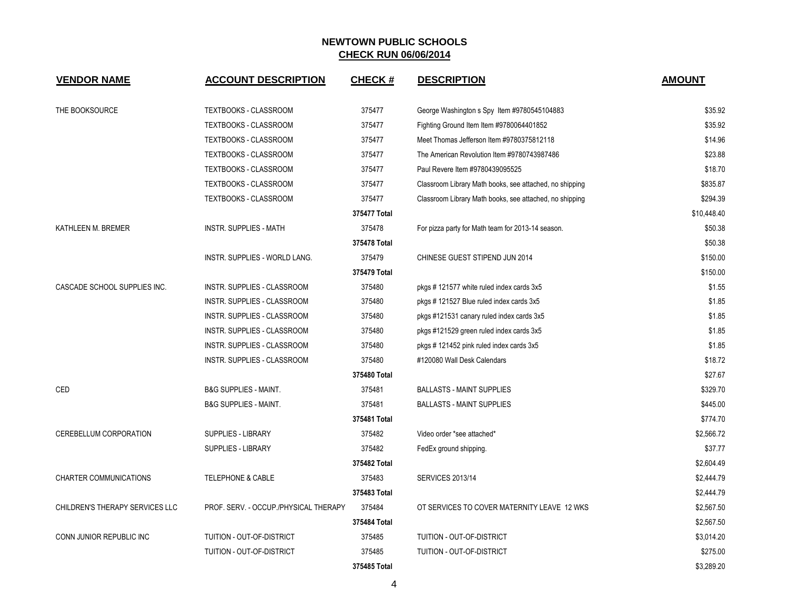| <b>VENDOR NAME</b>              | <b>ACCOUNT DESCRIPTION</b>            | <b>CHECK#</b> | <b>DESCRIPTION</b>                                      | <b>AMOUNT</b> |
|---------------------------------|---------------------------------------|---------------|---------------------------------------------------------|---------------|
| THE BOOKSOURCE                  | <b>TEXTBOOKS - CLASSROOM</b>          | 375477        | George Washington s Spy Item #9780545104883             | \$35.92       |
|                                 | TEXTBOOKS - CLASSROOM                 | 375477        | Fighting Ground Item Item #9780064401852                | \$35.92       |
|                                 | <b>TEXTBOOKS - CLASSROOM</b>          | 375477        | Meet Thomas Jefferson Item #9780375812118               | \$14.96       |
|                                 | <b>TEXTBOOKS - CLASSROOM</b>          | 375477        | The American Revolution Item #9780743987486             | \$23.88       |
|                                 | <b>TEXTBOOKS - CLASSROOM</b>          | 375477        | Paul Revere Item #9780439095525                         | \$18.70       |
|                                 | <b>TEXTBOOKS - CLASSROOM</b>          | 375477        | Classroom Library Math books, see attached, no shipping | \$835.87      |
|                                 | TEXTBOOKS - CLASSROOM                 | 375477        | Classroom Library Math books, see attached, no shipping | \$294.39      |
|                                 |                                       | 375477 Total  |                                                         | \$10,448.40   |
| KATHLEEN M. BREMER              | <b>INSTR. SUPPLIES - MATH</b>         | 375478        | For pizza party for Math team for 2013-14 season.       | \$50.38       |
|                                 |                                       | 375478 Total  |                                                         | \$50.38       |
|                                 | INSTR. SUPPLIES - WORLD LANG.         | 375479        | CHINESE GUEST STIPEND JUN 2014                          | \$150.00      |
|                                 |                                       | 375479 Total  |                                                         | \$150.00      |
| CASCADE SCHOOL SUPPLIES INC.    | INSTR. SUPPLIES - CLASSROOM           | 375480        | pkgs #121577 white ruled index cards 3x5                | \$1.55        |
|                                 | INSTR. SUPPLIES - CLASSROOM           | 375480        | pkgs #121527 Blue ruled index cards 3x5                 | \$1.85        |
|                                 | INSTR. SUPPLIES - CLASSROOM           | 375480        | pkgs #121531 canary ruled index cards 3x5               | \$1.85        |
|                                 | INSTR. SUPPLIES - CLASSROOM           | 375480        | pkgs #121529 green ruled index cards 3x5                | \$1.85        |
|                                 | INSTR. SUPPLIES - CLASSROOM           | 375480        | pkgs #121452 pink ruled index cards 3x5                 | \$1.85        |
|                                 | INSTR. SUPPLIES - CLASSROOM           | 375480        | #120080 Wall Desk Calendars                             | \$18.72       |
|                                 |                                       | 375480 Total  |                                                         | \$27.67       |
| CED                             | <b>B&amp;G SUPPLIES - MAINT.</b>      | 375481        | <b>BALLASTS - MAINT SUPPLIES</b>                        | \$329.70      |
|                                 | <b>B&amp;G SUPPLIES - MAINT.</b>      | 375481        | <b>BALLASTS - MAINT SUPPLIES</b>                        | \$445.00      |
|                                 |                                       | 375481 Total  |                                                         | \$774.70      |
| CEREBELLUM CORPORATION          | <b>SUPPLIES - LIBRARY</b>             | 375482        | Video order *see attached*                              | \$2,566.72    |
|                                 | <b>SUPPLIES - LIBRARY</b>             | 375482        | FedEx ground shipping.                                  | \$37.77       |
|                                 |                                       | 375482 Total  |                                                         | \$2,604.49    |
| <b>CHARTER COMMUNICATIONS</b>   | <b>TELEPHONE &amp; CABLE</b>          | 375483        | <b>SERVICES 2013/14</b>                                 | \$2,444.79    |
|                                 |                                       | 375483 Total  |                                                         | \$2,444.79    |
| CHILDREN'S THERAPY SERVICES LLC | PROF. SERV. - OCCUP./PHYSICAL THERAPY | 375484        | OT SERVICES TO COVER MATERNITY LEAVE 12 WKS             | \$2,567.50    |
|                                 |                                       | 375484 Total  |                                                         | \$2,567.50    |
| CONN JUNIOR REPUBLIC INC        | TUITION - OUT-OF-DISTRICT             | 375485        | TUITION - OUT-OF-DISTRICT                               | \$3,014.20    |
|                                 | <b>TUITION - OUT-OF-DISTRICT</b>      | 375485        | TUITION - OUT-OF-DISTRICT                               | \$275.00      |
|                                 |                                       | 375485 Total  |                                                         | \$3.289.20    |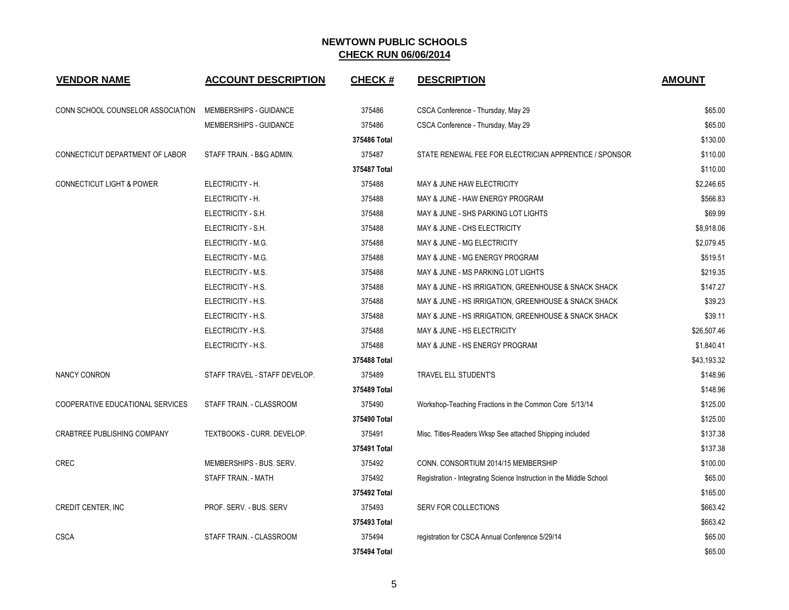| <b>VENDOR NAME</b>                   | <b>ACCOUNT DESCRIPTION</b>    | <b>CHECK#</b> | <b>DESCRIPTION</b>                                                  | <b>AMOUNT</b> |
|--------------------------------------|-------------------------------|---------------|---------------------------------------------------------------------|---------------|
| CONN SCHOOL COUNSELOR ASSOCIATION    | <b>MEMBERSHIPS - GUIDANCE</b> | 375486        | CSCA Conference - Thursday, May 29                                  | \$65.00       |
|                                      | MEMBERSHIPS - GUIDANCE        | 375486        | CSCA Conference - Thursday, May 29                                  | \$65.00       |
|                                      |                               | 375486 Total  |                                                                     | \$130.00      |
| CONNECTICUT DEPARTMENT OF LABOR      | STAFF TRAIN. - B&G ADMIN.     | 375487        | STATE RENEWAL FEE FOR ELECTRICIAN APPRENTICE / SPONSOR              | \$110.00      |
|                                      |                               | 375487 Total  |                                                                     | \$110.00      |
| <b>CONNECTICUT LIGHT &amp; POWER</b> | ELECTRICITY - H.              | 375488        | MAY & JUNE HAW ELECTRICITY                                          | \$2,246.65    |
|                                      | ELECTRICITY - H.              | 375488        | MAY & JUNE - HAW ENERGY PROGRAM                                     | \$566.83      |
|                                      | ELECTRICITY - S.H.            | 375488        | MAY & JUNE - SHS PARKING LOT LIGHTS                                 | \$69.99       |
|                                      | ELECTRICITY - S.H.            | 375488        | MAY & JUNE - CHS ELECTRICITY                                        | \$8,918.06    |
|                                      | ELECTRICITY - M.G.            | 375488        | MAY & JUNE - MG ELECTRICITY                                         | \$2,079.45    |
|                                      | ELECTRICITY - M.G.            | 375488        | MAY & JUNE - MG ENERGY PROGRAM                                      | \$519.51      |
|                                      | ELECTRICITY - M.S.            | 375488        | MAY & JUNE - MS PARKING LOT LIGHTS                                  | \$219.35      |
|                                      | ELECTRICITY - H.S.            | 375488        | MAY & JUNE - HS IRRIGATION, GREENHOUSE & SNACK SHACK                | \$147.27      |
|                                      | ELECTRICITY - H.S.            | 375488        | MAY & JUNE - HS IRRIGATION, GREENHOUSE & SNACK SHACK                | \$39.23       |
|                                      | ELECTRICITY - H.S.            | 375488        | MAY & JUNE - HS IRRIGATION, GREENHOUSE & SNACK SHACK                | \$39.11       |
|                                      | ELECTRICITY - H.S.            | 375488        | MAY & JUNE - HS ELECTRICITY                                         | \$26,507.46   |
|                                      | ELECTRICITY - H.S.            | 375488        | MAY & JUNE - HS ENERGY PROGRAM                                      | \$1,840.41    |
|                                      |                               | 375488 Total  |                                                                     | \$43,193.32   |
| <b>NANCY CONRON</b>                  | STAFF TRAVEL - STAFF DEVELOP. | 375489        | TRAVEL ELL STUDENT'S                                                | \$148.96      |
|                                      |                               | 375489 Total  |                                                                     | \$148.96      |
| COOPERATIVE EDUCATIONAL SERVICES     | STAFF TRAIN. - CLASSROOM      | 375490        | Workshop-Teaching Fractions in the Common Core 5/13/14              | \$125.00      |
|                                      |                               | 375490 Total  |                                                                     | \$125.00      |
| <b>CRABTREE PUBLISHING COMPANY</b>   | TEXTBOOKS - CURR. DEVELOP.    | 375491        | Misc. Titles-Readers Wksp See attached Shipping included            | \$137.38      |
|                                      |                               | 375491 Total  |                                                                     | \$137.38      |
| <b>CREC</b>                          | MEMBERSHIPS - BUS, SERV.      | 375492        | CONN. CONSORTIUM 2014/15 MEMBERSHIP                                 | \$100.00      |
|                                      | STAFF TRAIN. - MATH           | 375492        | Registration - Integrating Science Instruction in the Middle School | \$65.00       |
|                                      |                               | 375492 Total  |                                                                     | \$165.00      |
| CREDIT CENTER, INC                   | PROF. SERV. - BUS. SERV       | 375493        | SERV FOR COLLECTIONS                                                | \$663.42      |
|                                      |                               | 375493 Total  |                                                                     | \$663.42      |
| <b>CSCA</b>                          | STAFF TRAIN. - CLASSROOM      | 375494        | registration for CSCA Annual Conference 5/29/14                     | \$65.00       |
|                                      |                               | 375494 Total  |                                                                     | \$65.00       |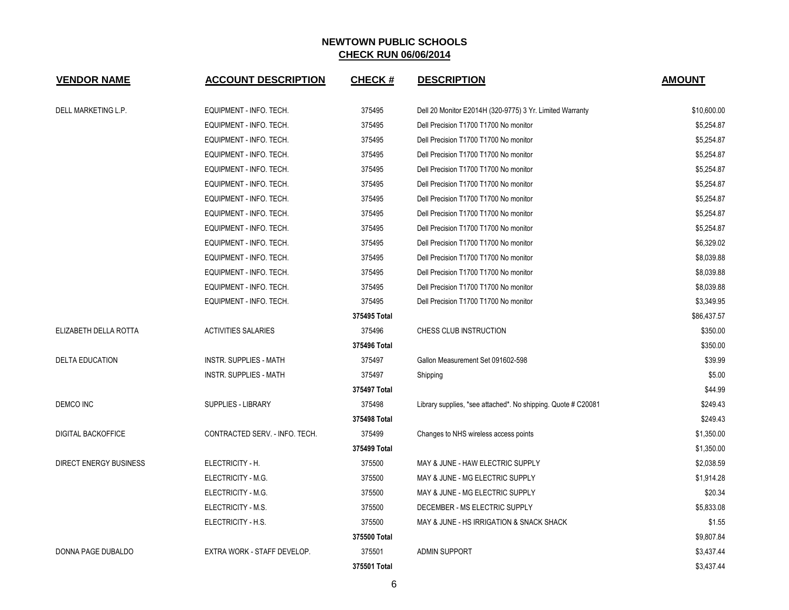| <b>VENDOR NAME</b>        | <b>ACCOUNT DESCRIPTION</b>     | <b>CHECK#</b> | <b>DESCRIPTION</b>                                            | <b>AMOUNT</b> |
|---------------------------|--------------------------------|---------------|---------------------------------------------------------------|---------------|
| DELL MARKETING L.P.       | EQUIPMENT - INFO. TECH.        | 375495        | Dell 20 Monitor E2014H (320-9775) 3 Yr. Limited Warranty      | \$10,600.00   |
|                           | EQUIPMENT - INFO. TECH.        | 375495        | Dell Precision T1700 T1700 No monitor                         | \$5,254.87    |
|                           | EQUIPMENT - INFO. TECH.        | 375495        | Dell Precision T1700 T1700 No monitor                         | \$5,254.87    |
|                           | EQUIPMENT - INFO. TECH.        | 375495        | Dell Precision T1700 T1700 No monitor                         | \$5,254.87    |
|                           | EQUIPMENT - INFO. TECH.        | 375495        | Dell Precision T1700 T1700 No monitor                         | \$5,254.87    |
|                           | EQUIPMENT - INFO. TECH.        | 375495        | Dell Precision T1700 T1700 No monitor                         | \$5,254.87    |
|                           | EQUIPMENT - INFO. TECH.        | 375495        | Dell Precision T1700 T1700 No monitor                         | \$5,254.87    |
|                           | EQUIPMENT - INFO. TECH.        | 375495        | Dell Precision T1700 T1700 No monitor                         | \$5,254.87    |
|                           | EQUIPMENT - INFO. TECH.        | 375495        | Dell Precision T1700 T1700 No monitor                         | \$5,254.87    |
|                           | EQUIPMENT - INFO. TECH.        | 375495        | Dell Precision T1700 T1700 No monitor                         | \$6,329.02    |
|                           | EQUIPMENT - INFO. TECH.        | 375495        | Dell Precision T1700 T1700 No monitor                         | \$8,039.88    |
|                           | EQUIPMENT - INFO. TECH.        | 375495        | Dell Precision T1700 T1700 No monitor                         | \$8,039.88    |
|                           | EQUIPMENT - INFO. TECH.        | 375495        | Dell Precision T1700 T1700 No monitor                         | \$8,039.88    |
|                           | EQUIPMENT - INFO. TECH.        | 375495        | Dell Precision T1700 T1700 No monitor                         | \$3,349.95    |
|                           |                                | 375495 Total  |                                                               | \$86,437.57   |
| ELIZABETH DELLA ROTTA     | <b>ACTIVITIES SALARIES</b>     | 375496        | CHESS CLUB INSTRUCTION                                        | \$350.00      |
|                           |                                | 375496 Total  |                                                               | \$350.00      |
| <b>DELTA EDUCATION</b>    | INSTR. SUPPLIES - MATH         | 375497        | Gallon Measurement Set 091602-598                             | \$39.99       |
|                           | <b>INSTR. SUPPLIES - MATH</b>  | 375497        | Shipping                                                      | \$5.00        |
|                           |                                | 375497 Total  |                                                               | \$44.99       |
| <b>DEMCO INC</b>          | <b>SUPPLIES - LIBRARY</b>      | 375498        | Library supplies, *see attached*. No shipping. Quote # C20081 | \$249.43      |
|                           |                                | 375498 Total  |                                                               | \$249.43      |
| <b>DIGITAL BACKOFFICE</b> | CONTRACTED SERV. - INFO. TECH. | 375499        | Changes to NHS wireless access points                         | \$1,350.00    |
|                           |                                | 375499 Total  |                                                               | \$1,350.00    |
| DIRECT ENERGY BUSINESS    | ELECTRICITY - H.               | 375500        | MAY & JUNE - HAW ELECTRIC SUPPLY                              | \$2,038.59    |
|                           | ELECTRICITY - M.G.             | 375500        | MAY & JUNE - MG ELECTRIC SUPPLY                               | \$1,914.28    |
|                           | ELECTRICITY - M.G.             | 375500        | MAY & JUNE - MG ELECTRIC SUPPLY                               | \$20.34       |
|                           | ELECTRICITY - M.S.             | 375500        | DECEMBER - MS ELECTRIC SUPPLY                                 | \$5,833.08    |
|                           | ELECTRICITY - H.S.             | 375500        | MAY & JUNE - HS IRRIGATION & SNACK SHACK                      | \$1.55        |
|                           |                                | 375500 Total  |                                                               | \$9,807.84    |
| DONNA PAGE DUBALDO        | EXTRA WORK - STAFF DEVELOP.    | 375501        | <b>ADMIN SUPPORT</b>                                          | \$3,437.44    |
|                           |                                | 375501 Total  |                                                               | \$3,437.44    |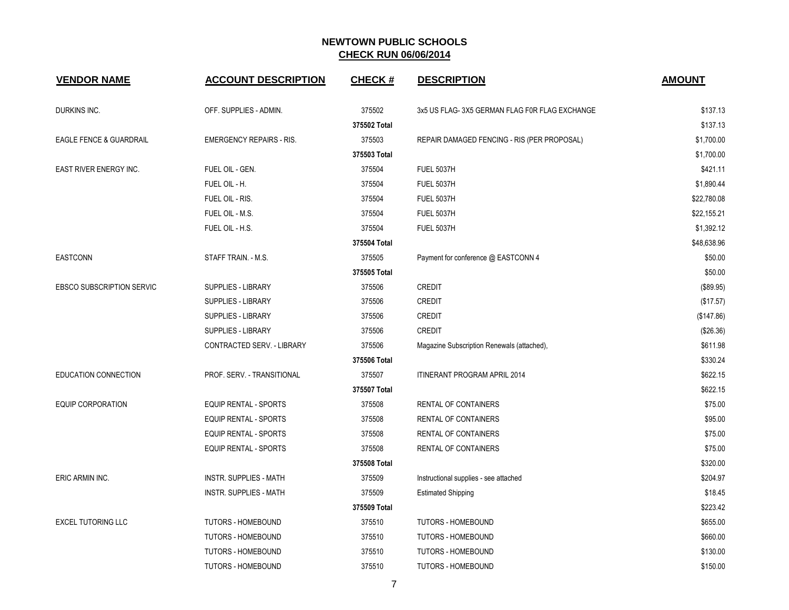| <b>VENDOR NAME</b>                 | <b>ACCOUNT DESCRIPTION</b>      | <b>CHECK#</b> | <b>DESCRIPTION</b>                            | <b>AMOUNT</b> |
|------------------------------------|---------------------------------|---------------|-----------------------------------------------|---------------|
| DURKINS INC.                       | OFF. SUPPLIES - ADMIN.          | 375502        | 3x5 US FLAG-3X5 GERMAN FLAG F0R FLAG EXCHANGE | \$137.13      |
|                                    |                                 | 375502 Total  |                                               | \$137.13      |
| <b>EAGLE FENCE &amp; GUARDRAIL</b> | <b>EMERGENCY REPAIRS - RIS.</b> | 375503        | REPAIR DAMAGED FENCING - RIS (PER PROPOSAL)   | \$1,700.00    |
|                                    |                                 | 375503 Total  |                                               | \$1,700.00    |
| EAST RIVER ENERGY INC.             | FUEL OIL - GEN.                 | 375504        | <b>FUEL 5037H</b>                             | \$421.11      |
|                                    | FUEL OIL - H.                   | 375504        | <b>FUEL 5037H</b>                             | \$1,890.44    |
|                                    | FUEL OIL - RIS.                 | 375504        | <b>FUEL 5037H</b>                             | \$22,780.08   |
|                                    | FUEL OIL - M.S.                 | 375504        | <b>FUEL 5037H</b>                             | \$22,155.21   |
|                                    | FUEL OIL - H.S.                 | 375504        | <b>FUEL 5037H</b>                             | \$1,392.12    |
|                                    |                                 | 375504 Total  |                                               | \$48,638.96   |
| <b>EASTCONN</b>                    | STAFF TRAIN. - M.S.             | 375505        | Payment for conference @ EASTCONN 4           | \$50.00       |
|                                    |                                 | 375505 Total  |                                               | \$50.00       |
| <b>EBSCO SUBSCRIPTION SERVIC</b>   | <b>SUPPLIES - LIBRARY</b>       | 375506        | <b>CREDIT</b>                                 | (\$89.95)     |
|                                    | <b>SUPPLIES - LIBRARY</b>       | 375506        | <b>CREDIT</b>                                 | (\$17.57)     |
|                                    | <b>SUPPLIES - LIBRARY</b>       | 375506        | <b>CREDIT</b>                                 | (\$147.86)    |
|                                    | <b>SUPPLIES - LIBRARY</b>       | 375506        | <b>CREDIT</b>                                 | (\$26.36)     |
|                                    | CONTRACTED SERV. - LIBRARY      | 375506        | Magazine Subscription Renewals (attached),    | \$611.98      |
|                                    |                                 | 375506 Total  |                                               | \$330.24      |
| EDUCATION CONNECTION               | PROF. SERV. - TRANSITIONAL      | 375507        | <b>ITINERANT PROGRAM APRIL 2014</b>           | \$622.15      |
|                                    |                                 | 375507 Total  |                                               | \$622.15      |
| <b>EQUIP CORPORATION</b>           | <b>EQUIP RENTAL - SPORTS</b>    | 375508        | RENTAL OF CONTAINERS                          | \$75.00       |
|                                    | EQUIP RENTAL - SPORTS           | 375508        | RENTAL OF CONTAINERS                          | \$95.00       |
|                                    | EQUIP RENTAL - SPORTS           | 375508        | RENTAL OF CONTAINERS                          | \$75.00       |
|                                    | <b>EQUIP RENTAL - SPORTS</b>    | 375508        | RENTAL OF CONTAINERS                          | \$75.00       |
|                                    |                                 | 375508 Total  |                                               | \$320.00      |
| ERIC ARMIN INC.                    | <b>INSTR. SUPPLIES - MATH</b>   | 375509        | Instructional supplies - see attached         | \$204.97      |
|                                    | <b>INSTR. SUPPLIES - MATH</b>   | 375509        | <b>Estimated Shipping</b>                     | \$18.45       |
|                                    |                                 | 375509 Total  |                                               | \$223.42      |
| <b>EXCEL TUTORING LLC</b>          | <b>TUTORS - HOMEBOUND</b>       | 375510        | <b>TUTORS - HOMEBOUND</b>                     | \$655.00      |
|                                    | <b>TUTORS - HOMEBOUND</b>       | 375510        | <b>TUTORS - HOMEBOUND</b>                     | \$660.00      |
|                                    | <b>TUTORS - HOMEBOUND</b>       | 375510        | <b>TUTORS - HOMEBOUND</b>                     | \$130.00      |
|                                    | <b>TUTORS - HOMEBOUND</b>       | 375510        | <b>TUTORS - HOMEBOUND</b>                     | \$150.00      |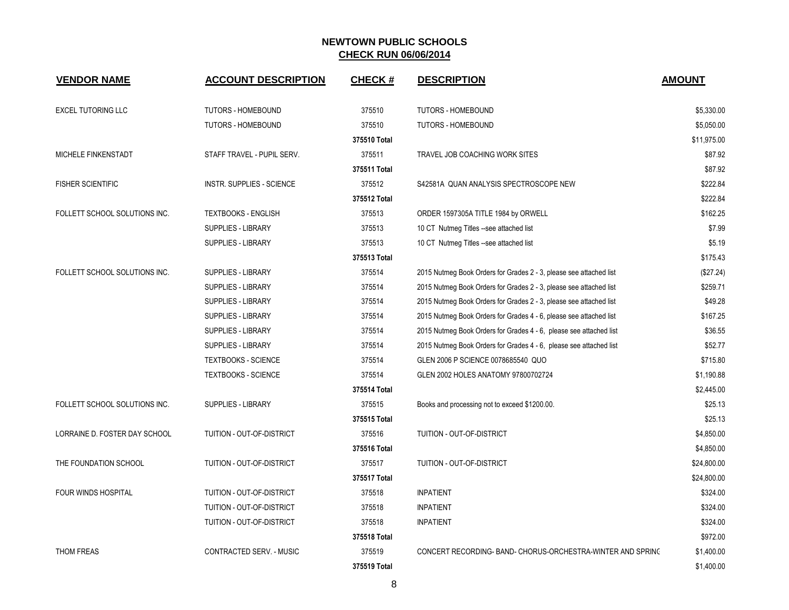| <b>VENDOR NAME</b>            | <b>ACCOUNT DESCRIPTION</b>       | <b>CHECK#</b> | <b>DESCRIPTION</b>                                                 | <b>AMOUNT</b> |
|-------------------------------|----------------------------------|---------------|--------------------------------------------------------------------|---------------|
| <b>EXCEL TUTORING LLC</b>     | <b>TUTORS - HOMEBOUND</b>        | 375510        | TUTORS - HOMEBOUND                                                 | \$5,330.00    |
|                               | <b>TUTORS - HOMEBOUND</b>        | 375510        | TUTORS - HOMEBOUND                                                 | \$5,050.00    |
|                               |                                  | 375510 Total  |                                                                    | \$11,975.00   |
| MICHELE FINKENSTADT           | STAFF TRAVEL - PUPIL SERV.       | 375511        | TRAVEL JOB COACHING WORK SITES                                     | \$87.92       |
|                               |                                  | 375511 Total  |                                                                    | \$87.92       |
| <b>FISHER SCIENTIFIC</b>      | <b>INSTR. SUPPLIES - SCIENCE</b> | 375512        | S42581A QUAN ANALYSIS SPECTROSCOPE NEW                             | \$222.84      |
|                               |                                  | 375512 Total  |                                                                    | \$222.84      |
| FOLLETT SCHOOL SOLUTIONS INC. | <b>TEXTBOOKS - ENGLISH</b>       | 375513        | ORDER 1597305A TITLE 1984 by ORWELL                                | \$162.25      |
|                               | <b>SUPPLIES - LIBRARY</b>        | 375513        | 10 CT Nutmeg Titles --see attached list                            | \$7.99        |
|                               | <b>SUPPLIES - LIBRARY</b>        | 375513        | 10 CT Nutmeg Titles --see attached list                            | \$5.19        |
|                               |                                  | 375513 Total  |                                                                    | \$175.43      |
| FOLLETT SCHOOL SOLUTIONS INC. | <b>SUPPLIES - LIBRARY</b>        | 375514        | 2015 Nutmeg Book Orders for Grades 2 - 3, please see attached list | (\$27.24)     |
|                               | SUPPLIES - LIBRARY               | 375514        | 2015 Nutmeg Book Orders for Grades 2 - 3, please see attached list | \$259.71      |
|                               | SUPPLIES - LIBRARY               | 375514        | 2015 Nutmeg Book Orders for Grades 2 - 3, please see attached list | \$49.28       |
|                               | <b>SUPPLIES - LIBRARY</b>        | 375514        | 2015 Nutmeg Book Orders for Grades 4 - 6, please see attached list | \$167.25      |
|                               | <b>SUPPLIES - LIBRARY</b>        | 375514        | 2015 Nutmeg Book Orders for Grades 4 - 6, please see attached list | \$36.55       |
|                               | <b>SUPPLIES - LIBRARY</b>        | 375514        | 2015 Nutmeg Book Orders for Grades 4 - 6, please see attached list | \$52.77       |
|                               | <b>TEXTBOOKS - SCIENCE</b>       | 375514        | GLEN 2006 P SCIENCE 0078685540 QUO                                 | \$715.80      |
|                               | <b>TEXTBOOKS - SCIENCE</b>       | 375514        | GLEN 2002 HOLES ANATOMY 97800702724                                | \$1,190.88    |
|                               |                                  | 375514 Total  |                                                                    | \$2,445.00    |
| FOLLETT SCHOOL SOLUTIONS INC. | SUPPLIES - LIBRARY               | 375515        | Books and processing not to exceed \$1200.00.                      | \$25.13       |
|                               |                                  | 375515 Total  |                                                                    | \$25.13       |
| LORRAINE D. FOSTER DAY SCHOOL | TUITION - OUT-OF-DISTRICT        | 375516        | TUITION - OUT-OF-DISTRICT                                          | \$4,850.00    |
|                               |                                  | 375516 Total  |                                                                    | \$4,850.00    |
| THE FOUNDATION SCHOOL         | TUITION - OUT-OF-DISTRICT        | 375517        | TUITION - OUT-OF-DISTRICT                                          | \$24,800.00   |
|                               |                                  | 375517 Total  |                                                                    | \$24,800.00   |
| FOUR WINDS HOSPITAL           | TUITION - OUT-OF-DISTRICT        | 375518        | <b>INPATIENT</b>                                                   | \$324.00      |
|                               | TUITION - OUT-OF-DISTRICT        | 375518        | <b>INPATIENT</b>                                                   | \$324.00      |
|                               | <b>TUITION - OUT-OF-DISTRICT</b> | 375518        | <b>INPATIENT</b>                                                   | \$324.00      |
|                               |                                  | 375518 Total  |                                                                    | \$972.00      |
| <b>THOM FREAS</b>             | CONTRACTED SERV. - MUSIC         | 375519        | CONCERT RECORDING- BAND- CHORUS-ORCHESTRA-WINTER AND SPRINC        | \$1,400.00    |
|                               |                                  | 375519 Total  |                                                                    | \$1,400.00    |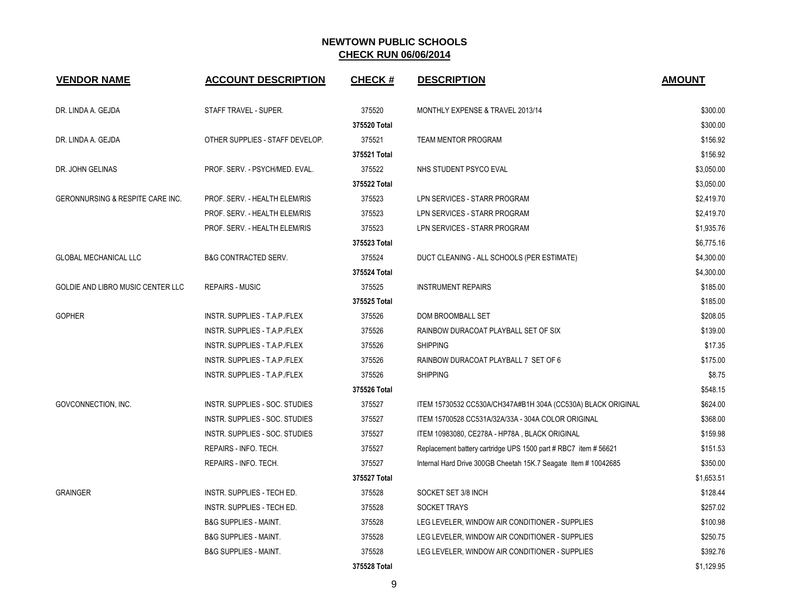| <b>VENDOR NAME</b>                | <b>ACCOUNT DESCRIPTION</b>        | <b>CHECK#</b> | <b>DESCRIPTION</b>                                              | <b>AMOUNT</b> |
|-----------------------------------|-----------------------------------|---------------|-----------------------------------------------------------------|---------------|
| DR. LINDA A. GEJDA                | STAFF TRAVEL - SUPER.             | 375520        | MONTHLY EXPENSE & TRAVEL 2013/14                                | \$300.00      |
|                                   |                                   | 375520 Total  |                                                                 | \$300.00      |
| DR. LINDA A. GEJDA                | OTHER SUPPLIES - STAFF DEVELOP.   | 375521        | <b>TEAM MENTOR PROGRAM</b>                                      | \$156.92      |
|                                   |                                   | 375521 Total  |                                                                 | \$156.92      |
| DR. JOHN GELINAS                  | PROF. SERV. - PSYCH/MED. EVAL.    | 375522        | NHS STUDENT PSYCO EVAL                                          | \$3,050.00    |
|                                   |                                   | 375522 Total  |                                                                 | \$3,050.00    |
| GERONNURSING & RESPITE CARE INC.  | PROF. SERV. - HEALTH ELEM/RIS     | 375523        | LPN SERVICES - STARR PROGRAM                                    | \$2,419.70    |
|                                   | PROF. SERV. - HEALTH ELEM/RIS     | 375523        | LPN SERVICES - STARR PROGRAM                                    | \$2,419.70    |
|                                   | PROF. SERV. - HEALTH ELEM/RIS     | 375523        | LPN SERVICES - STARR PROGRAM                                    | \$1,935.76    |
|                                   |                                   | 375523 Total  |                                                                 | \$6,775.16    |
| <b>GLOBAL MECHANICAL LLC</b>      | <b>B&amp;G CONTRACTED SERV.</b>   | 375524        | DUCT CLEANING - ALL SCHOOLS (PER ESTIMATE)                      | \$4,300.00    |
|                                   |                                   | 375524 Total  |                                                                 | \$4,300.00    |
| GOLDIE AND LIBRO MUSIC CENTER LLC | <b>REPAIRS - MUSIC</b>            | 375525        | <b>INSTRUMENT REPAIRS</b>                                       | \$185.00      |
|                                   |                                   | 375525 Total  |                                                                 | \$185.00      |
| <b>GOPHER</b>                     | INSTR. SUPPLIES - T.A.P./FLEX     | 375526        | DOM BROOMBALL SET                                               | \$208.05      |
|                                   | INSTR. SUPPLIES - T.A.P./FLEX     | 375526        | RAINBOW DURACOAT PLAYBALL SET OF SIX                            | \$139.00      |
|                                   | INSTR. SUPPLIES - T.A.P./FLEX     | 375526        | <b>SHIPPING</b>                                                 | \$17.35       |
|                                   | INSTR. SUPPLIES - T.A.P./FLEX     | 375526        | RAINBOW DURACOAT PLAYBALL 7 SET OF 6                            | \$175.00      |
|                                   | INSTR. SUPPLIES - T.A.P./FLEX     | 375526        | <b>SHIPPING</b>                                                 | \$8.75        |
|                                   |                                   | 375526 Total  |                                                                 | \$548.15      |
| GOVCONNECTION, INC.               | INSTR. SUPPLIES - SOC. STUDIES    | 375527        | ITEM 15730532 CC530A/CH347A#B1H 304A (CC530A) BLACK ORIGINAL    | \$624.00      |
|                                   | INSTR. SUPPLIES - SOC. STUDIES    | 375527        | ITEM 15700528 CC531A/32A/33A - 304A COLOR ORIGINAL              | \$368.00      |
|                                   | INSTR. SUPPLIES - SOC. STUDIES    | 375527        | ITEM 10983080, CE278A - HP78A, BLACK ORIGINAL                   | \$159.98      |
|                                   | REPAIRS - INFO. TECH.             | 375527        | Replacement battery cartridge UPS 1500 part # RBC7 item # 56621 | \$151.53      |
|                                   | REPAIRS - INFO. TECH.             | 375527        | Internal Hard Drive 300GB Cheetah 15K.7 Seagate Item # 10042685 | \$350.00      |
|                                   |                                   | 375527 Total  |                                                                 | \$1,653.51    |
| <b>GRAINGER</b>                   | INSTR. SUPPLIES - TECH ED.        | 375528        | SOCKET SET 3/8 INCH                                             | \$128.44      |
|                                   | <b>INSTR. SUPPLIES - TECH ED.</b> | 375528        | SOCKET TRAYS                                                    | \$257.02      |
|                                   | <b>B&amp;G SUPPLIES - MAINT.</b>  | 375528        | LEG LEVELER, WINDOW AIR CONDITIONER - SUPPLIES                  | \$100.98      |
|                                   | <b>B&amp;G SUPPLIES - MAINT.</b>  | 375528        | LEG LEVELER, WINDOW AIR CONDITIONER - SUPPLIES                  | \$250.75      |
|                                   | <b>B&amp;G SUPPLIES - MAINT.</b>  | 375528        | LEG LEVELER, WINDOW AIR CONDITIONER - SUPPLIES                  | \$392.76      |
|                                   |                                   | 375528 Total  |                                                                 | \$1,129.95    |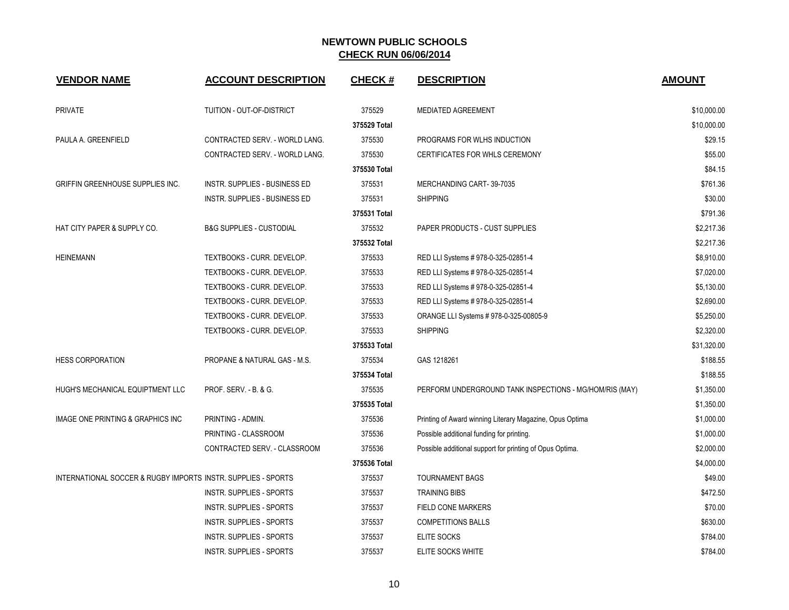| <b>VENDOR NAME</b>                                            | <b>ACCOUNT DESCRIPTION</b>              | <b>CHECK#</b> | <b>DESCRIPTION</b>                                       | <b>AMOUNT</b> |
|---------------------------------------------------------------|-----------------------------------------|---------------|----------------------------------------------------------|---------------|
| <b>PRIVATE</b>                                                | TUITION - OUT-OF-DISTRICT               | 375529        | <b>MEDIATED AGREEMENT</b>                                | \$10,000.00   |
|                                                               |                                         | 375529 Total  |                                                          | \$10,000.00   |
| PAULA A. GREENFIELD                                           | CONTRACTED SERV. - WORLD LANG.          | 375530        | PROGRAMS FOR WLHS INDUCTION                              | \$29.15       |
|                                                               | CONTRACTED SERV. - WORLD LANG.          | 375530        | CERTIFICATES FOR WHLS CEREMONY                           | \$55.00       |
|                                                               |                                         | 375530 Total  |                                                          | \$84.15       |
| <b>GRIFFIN GREENHOUSE SUPPLIES INC.</b>                       | INSTR. SUPPLIES - BUSINESS ED           | 375531        | MERCHANDING CART-39-7035                                 | \$761.36      |
|                                                               | INSTR. SUPPLIES - BUSINESS ED           | 375531        | <b>SHIPPING</b>                                          | \$30.00       |
|                                                               |                                         | 375531 Total  |                                                          | \$791.36      |
| HAT CITY PAPER & SUPPLY CO.                                   | <b>B&amp;G SUPPLIES - CUSTODIAL</b>     | 375532        | PAPER PRODUCTS - CUST SUPPLIES                           | \$2,217.36    |
|                                                               |                                         | 375532 Total  |                                                          | \$2,217.36    |
| <b>HEINEMANN</b>                                              | TEXTBOOKS - CURR. DEVELOP.              | 375533        | RED LLI Systems # 978-0-325-02851-4                      | \$8,910.00    |
|                                                               | TEXTBOOKS - CURR. DEVELOP.              | 375533        | RED LLI Systems # 978-0-325-02851-4                      | \$7,020.00    |
|                                                               | TEXTBOOKS - CURR. DEVELOP.              | 375533        | RED LLI Systems # 978-0-325-02851-4                      | \$5,130.00    |
|                                                               | TEXTBOOKS - CURR. DEVELOP.              | 375533        | RED LLI Systems # 978-0-325-02851-4                      | \$2,690.00    |
|                                                               | TEXTBOOKS - CURR. DEVELOP.              | 375533        | ORANGE LLI Systems # 978-0-325-00805-9                   | \$5,250.00    |
|                                                               | TEXTBOOKS - CURR. DEVELOP.              | 375533        | <b>SHIPPING</b>                                          | \$2,320.00    |
|                                                               |                                         | 375533 Total  |                                                          | \$31,320.00   |
| <b>HESS CORPORATION</b>                                       | <b>PROPANE &amp; NATURAL GAS - M.S.</b> | 375534        | GAS 1218261                                              | \$188.55      |
|                                                               |                                         | 375534 Total  |                                                          | \$188.55      |
| HUGH'S MECHANICAL EQUIPTMENT LLC                              | PROF. SERV. - B. & G.                   | 375535        | PERFORM UNDERGROUND TANK INSPECTIONS - MG/HOM/RIS (MAY)  | \$1,350.00    |
|                                                               |                                         | 375535 Total  |                                                          | \$1,350.00    |
| IMAGE ONE PRINTING & GRAPHICS INC                             | PRINTING - ADMIN.                       | 375536        | Printing of Award winning Literary Magazine, Opus Optima | \$1,000.00    |
|                                                               | PRINTING - CLASSROOM                    | 375536        | Possible additional funding for printing.                | \$1,000.00    |
|                                                               | CONTRACTED SERV. - CLASSROOM            | 375536        | Possible additional support for printing of Opus Optima. | \$2,000.00    |
|                                                               |                                         | 375536 Total  |                                                          | \$4,000.00    |
| INTERNATIONAL SOCCER & RUGBY IMPORTS INSTR. SUPPLIES - SPORTS |                                         | 375537        | <b>TOURNAMENT BAGS</b>                                   | \$49.00       |
|                                                               | INSTR. SUPPLIES - SPORTS                | 375537        | <b>TRAINING BIBS</b>                                     | \$472.50      |
|                                                               | INSTR. SUPPLIES - SPORTS                | 375537        | <b>FIELD CONE MARKERS</b>                                | \$70.00       |
|                                                               | INSTR. SUPPLIES - SPORTS                | 375537        | <b>COMPETITIONS BALLS</b>                                | \$630.00      |
|                                                               | <b>INSTR. SUPPLIES - SPORTS</b>         | 375537        | ELITE SOCKS                                              | \$784.00      |
|                                                               | <b>INSTR. SUPPLIES - SPORTS</b>         | 375537        | ELITE SOCKS WHITE                                        | \$784.00      |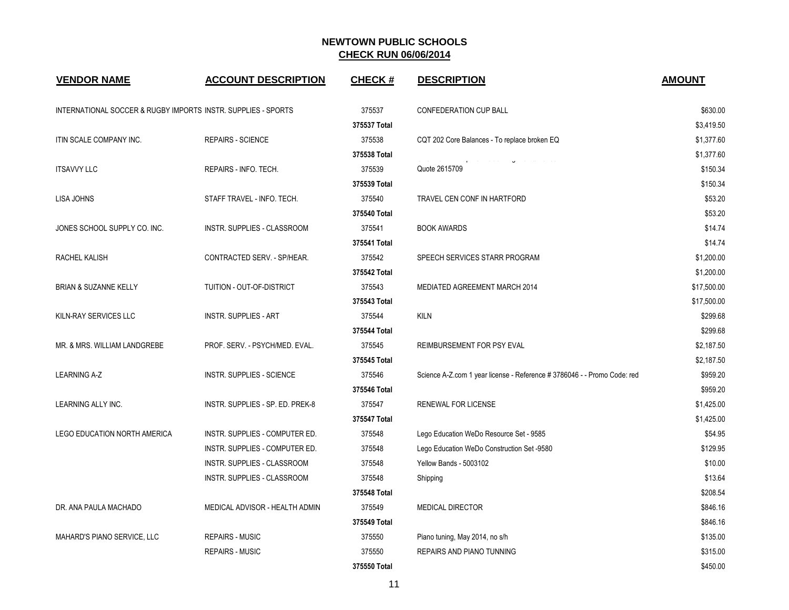| <b>VENDOR NAME</b>                                            | <b>ACCOUNT DESCRIPTION</b>       | <b>CHECK#</b> | <b>DESCRIPTION</b>                                                       | <b>AMOUNT</b> |
|---------------------------------------------------------------|----------------------------------|---------------|--------------------------------------------------------------------------|---------------|
| INTERNATIONAL SOCCER & RUGBY IMPORTS INSTR. SUPPLIES - SPORTS |                                  | 375537        | <b>CONFEDERATION CUP BALL</b>                                            | \$630.00      |
|                                                               |                                  | 375537 Total  |                                                                          | \$3,419.50    |
| ITIN SCALE COMPANY INC.                                       | <b>REPAIRS - SCIENCE</b>         | 375538        | CQT 202 Core Balances - To replace broken EQ                             | \$1,377.60    |
|                                                               |                                  | 375538 Total  |                                                                          | \$1,377.60    |
| <b>ITSAVVY LLC</b>                                            | REPAIRS - INFO. TECH.            | 375539        | Quote 2615709                                                            | \$150.34      |
|                                                               |                                  | 375539 Total  |                                                                          | \$150.34      |
| LISA JOHNS                                                    | STAFF TRAVEL - INFO. TECH.       | 375540        | TRAVEL CEN CONF IN HARTFORD                                              | \$53.20       |
|                                                               |                                  | 375540 Total  |                                                                          | \$53.20       |
| JONES SCHOOL SUPPLY CO. INC.                                  | INSTR. SUPPLIES - CLASSROOM      | 375541        | <b>BOOK AWARDS</b>                                                       | \$14.74       |
|                                                               |                                  | 375541 Total  |                                                                          | \$14.74       |
| RACHEL KALISH                                                 | CONTRACTED SERV. - SP/HEAR.      | 375542        | SPEECH SERVICES STARR PROGRAM                                            | \$1,200.00    |
|                                                               |                                  | 375542 Total  |                                                                          | \$1,200.00    |
| <b>BRIAN &amp; SUZANNE KELLY</b>                              | TUITION - OUT-OF-DISTRICT        | 375543        | MEDIATED AGREEMENT MARCH 2014                                            | \$17,500.00   |
|                                                               |                                  | 375543 Total  |                                                                          | \$17,500.00   |
| KILN-RAY SERVICES LLC                                         | <b>INSTR. SUPPLIES - ART</b>     | 375544        | <b>KILN</b>                                                              | \$299.68      |
|                                                               |                                  | 375544 Total  |                                                                          | \$299.68      |
| MR. & MRS. WILLIAM LANDGREBE                                  | PROF. SERV. - PSYCH/MED. EVAL.   | 375545        | REIMBURSEMENT FOR PSY EVAL                                               | \$2,187.50    |
|                                                               |                                  | 375545 Total  |                                                                          | \$2,187.50    |
| <b>LEARNING A-Z</b>                                           | INSTR. SUPPLIES - SCIENCE        | 375546        | Science A-Z.com 1 year license - Reference # 3786046 - - Promo Code: red | \$959.20      |
|                                                               |                                  | 375546 Total  |                                                                          | \$959.20      |
| LEARNING ALLY INC.                                            | INSTR. SUPPLIES - SP. ED. PREK-8 | 375547        | RENEWAL FOR LICENSE                                                      | \$1,425.00    |
|                                                               |                                  | 375547 Total  |                                                                          | \$1,425.00    |
| <b>LEGO EDUCATION NORTH AMERICA</b>                           | INSTR. SUPPLIES - COMPUTER ED.   | 375548        | Lego Education WeDo Resource Set - 9585                                  | \$54.95       |
|                                                               | INSTR. SUPPLIES - COMPUTER ED.   | 375548        | Lego Education WeDo Construction Set -9580                               | \$129.95      |
|                                                               | INSTR. SUPPLIES - CLASSROOM      | 375548        | <b>Yellow Bands - 5003102</b>                                            | \$10.00       |
|                                                               | INSTR. SUPPLIES - CLASSROOM      | 375548        | Shipping                                                                 | \$13.64       |
|                                                               |                                  | 375548 Total  |                                                                          | \$208.54      |
| DR. ANA PAULA MACHADO                                         | MEDICAL ADVISOR - HEALTH ADMIN   | 375549        | <b>MEDICAL DIRECTOR</b>                                                  | \$846.16      |
|                                                               |                                  | 375549 Total  |                                                                          | \$846.16      |
| MAHARD'S PIANO SERVICE, LLC                                   | <b>REPAIRS - MUSIC</b>           | 375550        | Piano tuning, May 2014, no s/h                                           | \$135.00      |
|                                                               | <b>REPAIRS - MUSIC</b>           | 375550        | REPAIRS AND PIANO TUNNING                                                | \$315.00      |
|                                                               |                                  | 375550 Total  |                                                                          | \$450.00      |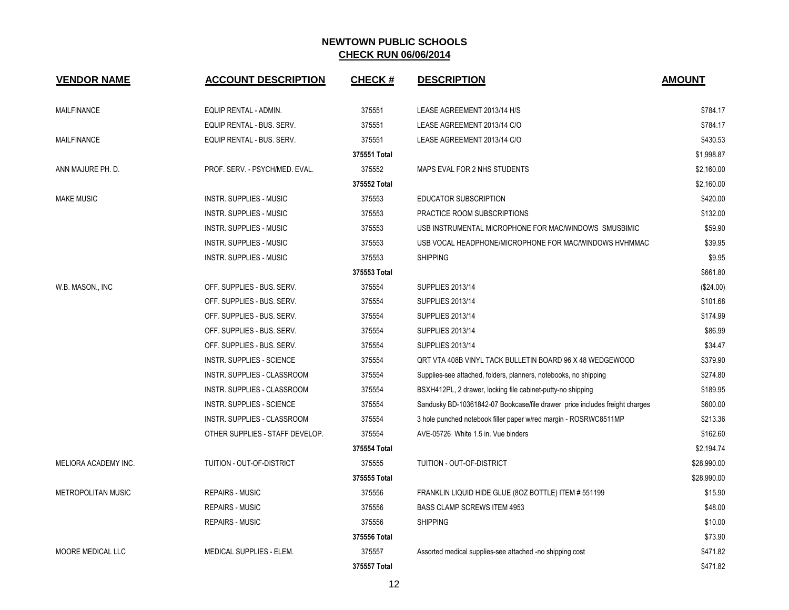| <b>VENDOR NAME</b>        | <b>ACCOUNT DESCRIPTION</b>       | <b>CHECK#</b> | <b>DESCRIPTION</b>                                                          | <b>AMOUNT</b> |
|---------------------------|----------------------------------|---------------|-----------------------------------------------------------------------------|---------------|
| <b>MAILFINANCE</b>        | EQUIP RENTAL - ADMIN.            | 375551        | LEASE AGREEMENT 2013/14 H/S                                                 | \$784.17      |
|                           | EQUIP RENTAL - BUS. SERV.        | 375551        | LEASE AGREEMENT 2013/14 C/O                                                 | \$784.17      |
| <b>MAILFINANCE</b>        | EQUIP RENTAL - BUS. SERV.        | 375551        | LEASE AGREEMENT 2013/14 C/O                                                 | \$430.53      |
|                           |                                  | 375551 Total  |                                                                             | \$1,998.87    |
| ANN MAJURE PH. D.         | PROF. SERV. - PSYCH/MED. EVAL.   | 375552        | MAPS EVAL FOR 2 NHS STUDENTS                                                | \$2,160.00    |
|                           |                                  | 375552 Total  |                                                                             | \$2,160.00    |
| <b>MAKE MUSIC</b>         | <b>INSTR. SUPPLIES - MUSIC</b>   | 375553        | EDUCATOR SUBSCRIPTION                                                       | \$420.00      |
|                           | INSTR. SUPPLIES - MUSIC          | 375553        | PRACTICE ROOM SUBSCRIPTIONS                                                 | \$132.00      |
|                           | INSTR. SUPPLIES - MUSIC          | 375553        | USB INSTRUMENTAL MICROPHONE FOR MAC/WINDOWS SMUSBIMIC                       | \$59.90       |
|                           | <b>INSTR. SUPPLIES - MUSIC</b>   | 375553        | USB VOCAL HEADPHONE/MICROPHONE FOR MAC/WINDOWS HVHMMAC                      | \$39.95       |
|                           | INSTR. SUPPLIES - MUSIC          | 375553        | <b>SHIPPING</b>                                                             | \$9.95        |
|                           |                                  | 375553 Total  |                                                                             | \$661.80      |
| W.B. MASON., INC          | OFF. SUPPLIES - BUS. SERV.       | 375554        | <b>SUPPLIES 2013/14</b>                                                     | (\$24.00)     |
|                           | OFF. SUPPLIES - BUS. SERV.       | 375554        | <b>SUPPLIES 2013/14</b>                                                     | \$101.68      |
|                           | OFF. SUPPLIES - BUS. SERV.       | 375554        | <b>SUPPLIES 2013/14</b>                                                     | \$174.99      |
|                           | OFF. SUPPLIES - BUS. SERV.       | 375554        | <b>SUPPLIES 2013/14</b>                                                     | \$86.99       |
|                           | OFF. SUPPLIES - BUS. SERV.       | 375554        | <b>SUPPLIES 2013/14</b>                                                     | \$34.47       |
|                           | <b>INSTR. SUPPLIES - SCIENCE</b> | 375554        | QRT VTA 408B VINYL TACK BULLETIN BOARD 96 X 48 WEDGEWOOD                    | \$379.90      |
|                           | INSTR. SUPPLIES - CLASSROOM      | 375554        | Supplies-see attached, folders, planners, notebooks, no shipping            | \$274.80      |
|                           | INSTR. SUPPLIES - CLASSROOM      | 375554        | BSXH412PL, 2 drawer, locking file cabinet-putty-no shipping                 | \$189.95      |
|                           | <b>INSTR. SUPPLIES - SCIENCE</b> | 375554        | Sandusky BD-10361842-07 Bookcase/file drawer price includes freight charges | \$600.00      |
|                           | INSTR. SUPPLIES - CLASSROOM      | 375554        | 3 hole punched notebook filler paper w/red margin - ROSRWC8511MP            | \$213.36      |
|                           | OTHER SUPPLIES - STAFF DEVELOP.  | 375554        | AVE-05726 White 1.5 in. Vue binders                                         | \$162.60      |
|                           |                                  | 375554 Total  |                                                                             | \$2,194.74    |
| MELIORA ACADEMY INC.      | TUITION - OUT-OF-DISTRICT        | 375555        | TUITION - OUT-OF-DISTRICT                                                   | \$28,990.00   |
|                           |                                  | 375555 Total  |                                                                             | \$28,990.00   |
| <b>METROPOLITAN MUSIC</b> | <b>REPAIRS - MUSIC</b>           | 375556        | FRANKLIN LIQUID HIDE GLUE (80Z BOTTLE) ITEM # 551199                        | \$15.90       |
|                           | <b>REPAIRS - MUSIC</b>           | 375556        | <b>BASS CLAMP SCREWS ITEM 4953</b>                                          | \$48.00       |
|                           | <b>REPAIRS - MUSIC</b>           | 375556        | <b>SHIPPING</b>                                                             | \$10.00       |
|                           |                                  | 375556 Total  |                                                                             | \$73.90       |
| MOORE MEDICAL LLC         | MEDICAL SUPPLIES - ELEM.         | 375557        | Assorted medical supplies-see attached -no shipping cost                    | \$471.82      |
|                           |                                  | 375557 Total  |                                                                             | \$471.82      |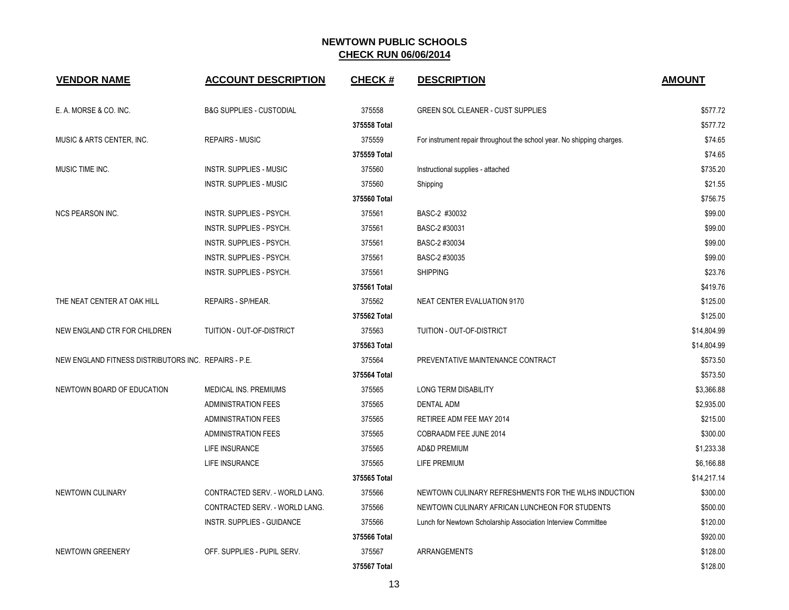| <b>VENDOR NAME</b>                                   | <b>ACCOUNT DESCRIPTION</b>          | <b>CHECK#</b> | <b>DESCRIPTION</b>                                                     | <b>AMOUNT</b> |
|------------------------------------------------------|-------------------------------------|---------------|------------------------------------------------------------------------|---------------|
| E. A. MORSE & CO. INC.                               | <b>B&amp;G SUPPLIES - CUSTODIAL</b> | 375558        | <b>GREEN SOL CLEANER - CUST SUPPLIES</b>                               | \$577.72      |
|                                                      |                                     | 375558 Total  |                                                                        | \$577.72      |
| MUSIC & ARTS CENTER, INC.                            | <b>REPAIRS - MUSIC</b>              | 375559        | For instrument repair throughout the school year. No shipping charges. | \$74.65       |
|                                                      |                                     | 375559 Total  |                                                                        | \$74.65       |
| MUSIC TIME INC.                                      | INSTR. SUPPLIES - MUSIC             | 375560        | Instructional supplies - attached                                      | \$735.20      |
|                                                      | <b>INSTR. SUPPLIES - MUSIC</b>      | 375560        | Shipping                                                               | \$21.55       |
|                                                      |                                     | 375560 Total  |                                                                        | \$756.75      |
| <b>NCS PEARSON INC.</b>                              | INSTR. SUPPLIES - PSYCH.            | 375561        | BASC-2 #30032                                                          | \$99.00       |
|                                                      | INSTR. SUPPLIES - PSYCH.            | 375561        | BASC-2 #30031                                                          | \$99.00       |
|                                                      | INSTR. SUPPLIES - PSYCH.            | 375561        | BASC-2 #30034                                                          | \$99.00       |
|                                                      | INSTR. SUPPLIES - PSYCH.            | 375561        | BASC-2 #30035                                                          | \$99.00       |
|                                                      | INSTR. SUPPLIES - PSYCH.            | 375561        | <b>SHIPPING</b>                                                        | \$23.76       |
|                                                      |                                     | 375561 Total  |                                                                        | \$419.76      |
| THE NEAT CENTER AT OAK HILL                          | REPAIRS - SP/HEAR.                  | 375562        | NEAT CENTER EVALUATION 9170                                            | \$125.00      |
|                                                      |                                     | 375562 Total  |                                                                        | \$125.00      |
| NEW ENGLAND CTR FOR CHILDREN                         | TUITION - OUT-OF-DISTRICT           | 375563        | TUITION - OUT-OF-DISTRICT                                              | \$14,804.99   |
|                                                      |                                     | 375563 Total  |                                                                        | \$14,804.99   |
| NEW ENGLAND FITNESS DISTRIBUTORS INC. REPAIRS - P.E. |                                     | 375564        | PREVENTATIVE MAINTENANCE CONTRACT                                      | \$573.50      |
|                                                      |                                     | 375564 Total  |                                                                        | \$573.50      |
| NEWTOWN BOARD OF EDUCATION                           | MEDICAL INS. PREMIUMS               | 375565        | <b>LONG TERM DISABILITY</b>                                            | \$3,366.88    |
|                                                      | <b>ADMINISTRATION FEES</b>          | 375565        | <b>DENTAL ADM</b>                                                      | \$2,935.00    |
|                                                      | <b>ADMINISTRATION FEES</b>          | 375565        | RETIREE ADM FEE MAY 2014                                               | \$215.00      |
|                                                      | <b>ADMINISTRATION FEES</b>          | 375565        | COBRAADM FEE JUNE 2014                                                 | \$300.00      |
|                                                      | LIFE INSURANCE                      | 375565        | AD&D PREMIUM                                                           | \$1,233.38    |
|                                                      | LIFE INSURANCE                      | 375565        | LIFE PREMIUM                                                           | \$6,166.88    |
|                                                      |                                     | 375565 Total  |                                                                        | \$14,217.14   |
| NEWTOWN CULINARY                                     | CONTRACTED SERV. - WORLD LANG.      | 375566        | NEWTOWN CULINARY REFRESHMENTS FOR THE WLHS INDUCTION                   | \$300.00      |
|                                                      | CONTRACTED SERV. - WORLD LANG.      | 375566        | NEWTOWN CULINARY AFRICAN LUNCHEON FOR STUDENTS                         | \$500.00      |
|                                                      | <b>INSTR. SUPPLIES - GUIDANCE</b>   | 375566        | Lunch for Newtown Scholarship Association Interview Committee          | \$120.00      |
|                                                      |                                     | 375566 Total  |                                                                        | \$920.00      |
| NEWTOWN GREENERY                                     | OFF. SUPPLIES - PUPIL SERV.         | 375567        | ARRANGEMENTS                                                           | \$128.00      |
|                                                      |                                     | 375567 Total  |                                                                        | \$128.00      |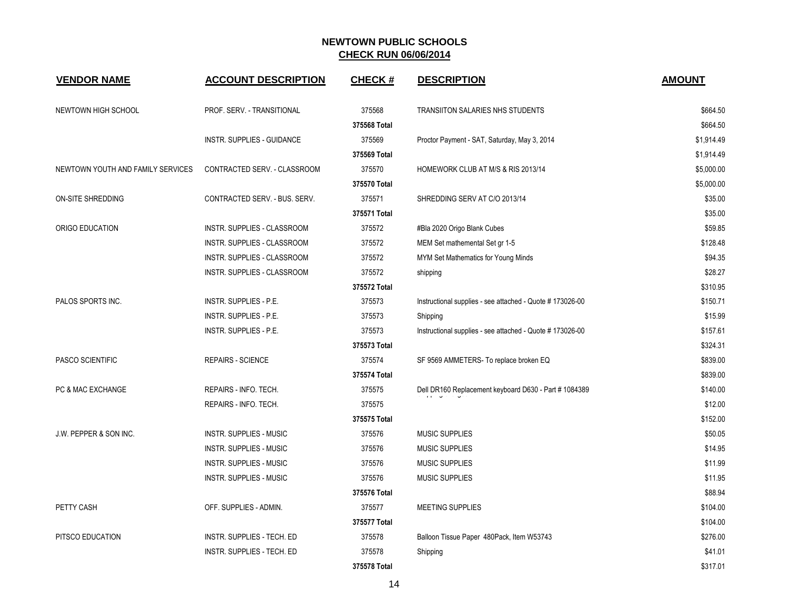| <b>VENDOR NAME</b>                | <b>ACCOUNT DESCRIPTION</b>     | <b>CHECK#</b> | <b>DESCRIPTION</b>                                        | <b>AMOUNT</b> |
|-----------------------------------|--------------------------------|---------------|-----------------------------------------------------------|---------------|
| NEWTOWN HIGH SCHOOL               | PROF. SERV. - TRANSITIONAL     | 375568        | <b>TRANSIITON SALARIES NHS STUDENTS</b>                   | \$664.50      |
|                                   |                                | 375568 Total  |                                                           | \$664.50      |
|                                   | INSTR. SUPPLIES - GUIDANCE     | 375569        | Proctor Payment - SAT, Saturday, May 3, 2014              | \$1,914.49    |
|                                   |                                | 375569 Total  |                                                           | \$1,914.49    |
| NEWTOWN YOUTH AND FAMILY SERVICES | CONTRACTED SERV. - CLASSROOM   | 375570        | HOMEWORK CLUB AT M/S & RIS 2013/14                        | \$5,000.00    |
|                                   |                                | 375570 Total  |                                                           | \$5,000.00    |
| ON-SITE SHREDDING                 | CONTRACTED SERV. - BUS. SERV.  | 375571        | SHREDDING SERV AT C/O 2013/14                             | \$35.00       |
|                                   |                                | 375571 Total  |                                                           | \$35.00       |
| ORIGO EDUCATION                   | INSTR. SUPPLIES - CLASSROOM    | 375572        | #Bla 2020 Origo Blank Cubes                               | \$59.85       |
|                                   | INSTR. SUPPLIES - CLASSROOM    | 375572        | MEM Set mathemental Set gr 1-5                            | \$128.48      |
|                                   | INSTR. SUPPLIES - CLASSROOM    | 375572        | MYM Set Mathematics for Young Minds                       | \$94.35       |
|                                   | INSTR. SUPPLIES - CLASSROOM    | 375572        | shipping                                                  | \$28.27       |
|                                   |                                | 375572 Total  |                                                           | \$310.95      |
| PALOS SPORTS INC.                 | INSTR. SUPPLIES - P.E.         | 375573        | Instructional supplies - see attached - Quote #173026-00  | \$150.71      |
|                                   | INSTR. SUPPLIES - P.E.         | 375573        | Shipping                                                  | \$15.99       |
|                                   | INSTR. SUPPLIES - P.E.         | 375573        | Instructional supplies - see attached - Quote # 173026-00 | \$157.61      |
|                                   |                                | 375573 Total  |                                                           | \$324.31      |
| PASCO SCIENTIFIC                  | <b>REPAIRS - SCIENCE</b>       | 375574        | SF 9569 AMMETERS- To replace broken EQ                    | \$839.00      |
|                                   |                                | 375574 Total  |                                                           | \$839.00      |
| PC & MAC EXCHANGE                 | REPAIRS - INFO. TECH.          | 375575        | Dell DR160 Replacement keyboard D630 - Part # 1084389     | \$140.00      |
|                                   | REPAIRS - INFO. TECH.          | 375575        |                                                           | \$12.00       |
|                                   |                                | 375575 Total  |                                                           | \$152.00      |
| J.W. PEPPER & SON INC.            | <b>INSTR. SUPPLIES - MUSIC</b> | 375576        | <b>MUSIC SUPPLIES</b>                                     | \$50.05       |
|                                   | <b>INSTR. SUPPLIES - MUSIC</b> | 375576        | <b>MUSIC SUPPLIES</b>                                     | \$14.95       |
|                                   | <b>INSTR. SUPPLIES - MUSIC</b> | 375576        | <b>MUSIC SUPPLIES</b>                                     | \$11.99       |
|                                   | INSTR. SUPPLIES - MUSIC        | 375576        | <b>MUSIC SUPPLIES</b>                                     | \$11.95       |
|                                   |                                | 375576 Total  |                                                           | \$88.94       |
| PETTY CASH                        | OFF. SUPPLIES - ADMIN.         | 375577        | MEETING SUPPLIES                                          | \$104.00      |
|                                   |                                | 375577 Total  |                                                           | \$104.00      |
| PITSCO EDUCATION                  | INSTR. SUPPLIES - TECH. ED     | 375578        | Balloon Tissue Paper 480Pack, Item W53743                 | \$276.00      |
|                                   | INSTR. SUPPLIES - TECH. ED     | 375578        | Shipping                                                  | \$41.01       |
|                                   |                                | 375578 Total  |                                                           | \$317.01      |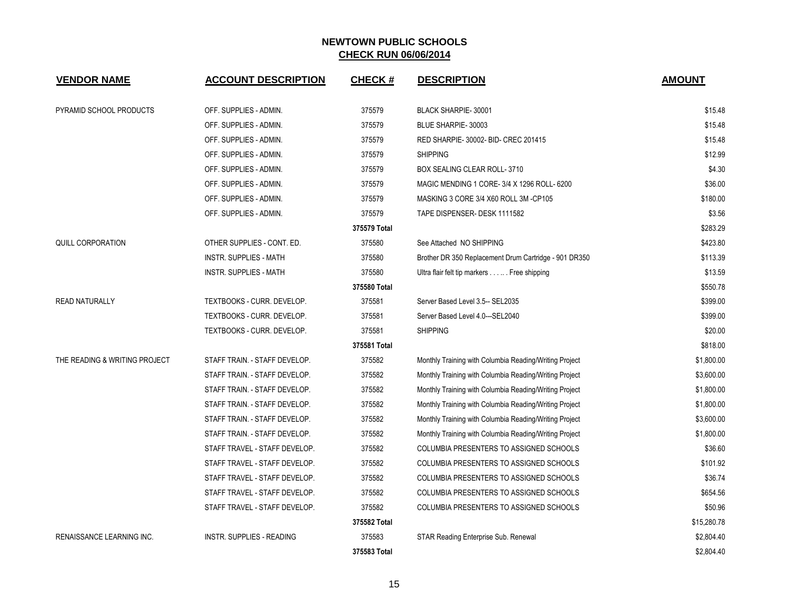| <b>VENDOR NAME</b>               | <b>ACCOUNT DESCRIPTION</b>       | <b>CHECK#</b> | <b>DESCRIPTION</b>                                     | <b>AMOUNT</b> |
|----------------------------------|----------------------------------|---------------|--------------------------------------------------------|---------------|
| PYRAMID SCHOOL PRODUCTS          | OFF. SUPPLIES - ADMIN.           | 375579        | <b>BLACK SHARPIE-30001</b>                             | \$15.48       |
|                                  | OFF. SUPPLIES - ADMIN.           | 375579        | BLUE SHARPIE-30003                                     | \$15.48       |
|                                  | OFF. SUPPLIES - ADMIN.           | 375579        | RED SHARPIE-30002- BID- CREC 201415                    | \$15.48       |
|                                  | OFF. SUPPLIES - ADMIN.           | 375579        | <b>SHIPPING</b>                                        | \$12.99       |
|                                  | OFF. SUPPLIES - ADMIN.           | 375579        | BOX SEALING CLEAR ROLL-3710                            | \$4.30        |
|                                  | OFF. SUPPLIES - ADMIN.           | 375579        | MAGIC MENDING 1 CORE-3/4 X 1296 ROLL-6200              | \$36.00       |
|                                  | OFF. SUPPLIES - ADMIN.           | 375579        | MASKING 3 CORE 3/4 X60 ROLL 3M -CP105                  | \$180.00      |
|                                  | OFF. SUPPLIES - ADMIN.           | 375579        | TAPE DISPENSER- DESK 1111582                           | \$3.56        |
|                                  |                                  | 375579 Total  |                                                        | \$283.29      |
| QUILL CORPORATION                | OTHER SUPPLIES - CONT. ED.       | 375580        | See Attached NO SHIPPING                               | \$423.80      |
|                                  | <b>INSTR. SUPPLIES - MATH</b>    | 375580        | Brother DR 350 Replacement Drum Cartridge - 901 DR350  | \$113.39      |
|                                  | <b>INSTR. SUPPLIES - MATH</b>    | 375580        | Ultra flair felt tip markers Free shipping             | \$13.59       |
|                                  |                                  | 375580 Total  |                                                        | \$550.78      |
| <b>READ NATURALLY</b>            | TEXTBOOKS - CURR. DEVELOP.       | 375581        | Server Based Level 3.5-- SEL2035                       | \$399.00      |
|                                  | TEXTBOOKS - CURR. DEVELOP.       | 375581        | Server Based Level 4.0---SEL2040                       | \$399.00      |
|                                  | TEXTBOOKS - CURR. DEVELOP.       | 375581        | <b>SHIPPING</b>                                        | \$20.00       |
|                                  |                                  | 375581 Total  |                                                        | \$818.00      |
| THE READING & WRITING PROJECT    | STAFF TRAIN. - STAFF DEVELOP.    | 375582        | Monthly Training with Columbia Reading/Writing Project | \$1,800.00    |
|                                  | STAFF TRAIN. - STAFF DEVELOP.    | 375582        | Monthly Training with Columbia Reading/Writing Project | \$3,600.00    |
|                                  | STAFF TRAIN. - STAFF DEVELOP.    | 375582        | Monthly Training with Columbia Reading/Writing Project | \$1,800.00    |
|                                  | STAFF TRAIN. - STAFF DEVELOP.    | 375582        | Monthly Training with Columbia Reading/Writing Project | \$1,800.00    |
|                                  | STAFF TRAIN. - STAFF DEVELOP.    | 375582        | Monthly Training with Columbia Reading/Writing Project | \$3,600.00    |
|                                  | STAFF TRAIN. - STAFF DEVELOP.    | 375582        | Monthly Training with Columbia Reading/Writing Project | \$1,800.00    |
|                                  | STAFF TRAVEL - STAFF DEVELOP.    | 375582        | COLUMBIA PRESENTERS TO ASSIGNED SCHOOLS                | \$36.60       |
|                                  | STAFF TRAVEL - STAFF DEVELOP.    | 375582        | COLUMBIA PRESENTERS TO ASSIGNED SCHOOLS                | \$101.92      |
|                                  | STAFF TRAVEL - STAFF DEVELOP.    | 375582        | COLUMBIA PRESENTERS TO ASSIGNED SCHOOLS                | \$36.74       |
|                                  | STAFF TRAVEL - STAFF DEVELOP.    | 375582        | COLUMBIA PRESENTERS TO ASSIGNED SCHOOLS                | \$654.56      |
|                                  | STAFF TRAVEL - STAFF DEVELOP.    | 375582        | COLUMBIA PRESENTERS TO ASSIGNED SCHOOLS                | \$50.96       |
|                                  |                                  | 375582 Total  |                                                        | \$15,280.78   |
| <b>RENAISSANCE LEARNING INC.</b> | <b>INSTR. SUPPLIES - READING</b> | 375583        | STAR Reading Enterprise Sub. Renewal                   | \$2,804.40    |
|                                  |                                  | 375583 Total  |                                                        | \$2,804.40    |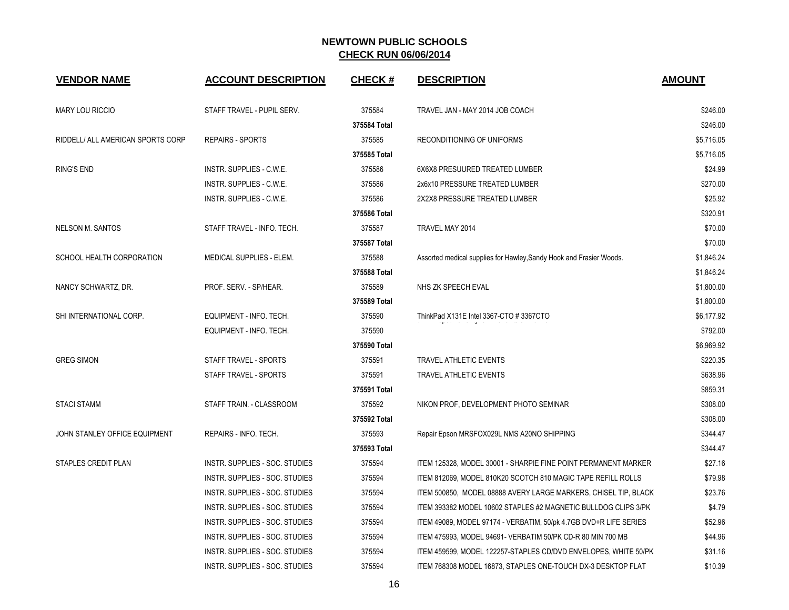| <b>VENDOR NAME</b>                | <b>ACCOUNT DESCRIPTION</b>      | <b>CHECK#</b> | <b>DESCRIPTION</b>                                                  | <b>AMOUNT</b> |
|-----------------------------------|---------------------------------|---------------|---------------------------------------------------------------------|---------------|
| <b>MARY LOU RICCIO</b>            | STAFF TRAVEL - PUPIL SERV.      | 375584        | TRAVEL JAN - MAY 2014 JOB COACH                                     | \$246.00      |
|                                   |                                 | 375584 Total  |                                                                     | \$246.00      |
| RIDDELL/ ALL AMERICAN SPORTS CORP | <b>REPAIRS - SPORTS</b>         | 375585        | RECONDITIONING OF UNIFORMS                                          | \$5,716.05    |
|                                   |                                 | 375585 Total  |                                                                     | \$5,716.05    |
| <b>RING'S END</b>                 | INSTR. SUPPLIES - C.W.E.        | 375586        | 6X6X8 PRESUURED TREATED LUMBER                                      | \$24.99       |
|                                   | INSTR. SUPPLIES - C.W.E.        | 375586        | 2x6x10 PRESSURE TREATED LUMBER                                      | \$270.00      |
|                                   | INSTR. SUPPLIES - C.W.E.        | 375586        | 2X2X8 PRESSURE TREATED LUMBER                                       | \$25.92       |
|                                   |                                 | 375586 Total  |                                                                     | \$320.91      |
| NELSON M. SANTOS                  | STAFF TRAVEL - INFO. TECH.      | 375587        | TRAVEL MAY 2014                                                     | \$70.00       |
|                                   |                                 | 375587 Total  |                                                                     | \$70.00       |
| SCHOOL HEALTH CORPORATION         | <b>MEDICAL SUPPLIES - ELEM.</b> | 375588        | Assorted medical supplies for Hawley, Sandy Hook and Frasier Woods. | \$1,846.24    |
|                                   |                                 | 375588 Total  |                                                                     | \$1,846.24    |
| NANCY SCHWARTZ, DR.               | PROF. SERV. - SP/HEAR.          | 375589        | NHS ZK SPEECH EVAL                                                  | \$1,800.00    |
|                                   |                                 | 375589 Total  |                                                                     | \$1,800.00    |
| SHI INTERNATIONAL CORP.           | EQUIPMENT - INFO. TECH.         | 375590        | ThinkPad X131E Intel 3367-CTO #3367CTO                              | \$6,177.92    |
|                                   | EQUIPMENT - INFO. TECH.         | 375590        |                                                                     | \$792.00      |
|                                   |                                 | 375590 Total  |                                                                     | \$6,969.92    |
| <b>GREG SIMON</b>                 | STAFF TRAVEL - SPORTS           | 375591        | <b>TRAVEL ATHLETIC EVENTS</b>                                       | \$220.35      |
|                                   | STAFF TRAVEL - SPORTS           | 375591        | TRAVEL ATHLETIC EVENTS                                              | \$638.96      |
|                                   |                                 | 375591 Total  |                                                                     | \$859.31      |
| <b>STACI STAMM</b>                | STAFF TRAIN. - CLASSROOM        | 375592        | NIKON PROF, DEVELOPMENT PHOTO SEMINAR                               | \$308.00      |
|                                   |                                 | 375592 Total  |                                                                     | \$308.00      |
| JOHN STANLEY OFFICE EQUIPMENT     | REPAIRS - INFO. TECH.           | 375593        | Repair Epson MRSFOX029L NMS A20NO SHIPPING                          | \$344.47      |
|                                   |                                 | 375593 Total  |                                                                     | \$344.47      |
| STAPLES CREDIT PLAN               | INSTR. SUPPLIES - SOC. STUDIES  | 375594        | ITEM 125328, MODEL 30001 - SHARPIE FINE POINT PERMANENT MARKER      | \$27.16       |
|                                   | INSTR. SUPPLIES - SOC. STUDIES  | 375594        | ITEM 812069, MODEL 810K20 SCOTCH 810 MAGIC TAPE REFILL ROLLS        | \$79.98       |
|                                   | INSTR. SUPPLIES - SOC. STUDIES  | 375594        | ITEM 500850, MODEL 08888 AVERY LARGE MARKERS, CHISEL TIP, BLACK     | \$23.76       |
|                                   | INSTR. SUPPLIES - SOC. STUDIES  | 375594        | ITEM 393382 MODEL 10602 STAPLES #2 MAGNETIC BULLDOG CLIPS 3/PK      | \$4.79        |
|                                   | INSTR. SUPPLIES - SOC. STUDIES  | 375594        | ITEM 49089, MODEL 97174 - VERBATIM, 50/pk 4.7GB DVD+R LIFE SERIES   | \$52.96       |
|                                   | INSTR. SUPPLIES - SOC. STUDIES  | 375594        | ITEM 475993, MODEL 94691- VERBATIM 50/PK CD-R 80 MIN 700 MB         | \$44.96       |
|                                   | INSTR. SUPPLIES - SOC. STUDIES  | 375594        | ITEM 459599, MODEL 122257-STAPLES CD/DVD ENVELOPES, WHITE 50/PK     | \$31.16       |
|                                   | INSTR. SUPPLIES - SOC. STUDIES  | 375594        | ITEM 768308 MODEL 16873, STAPLES ONE-TOUCH DX-3 DESKTOP FLAT        | \$10.39       |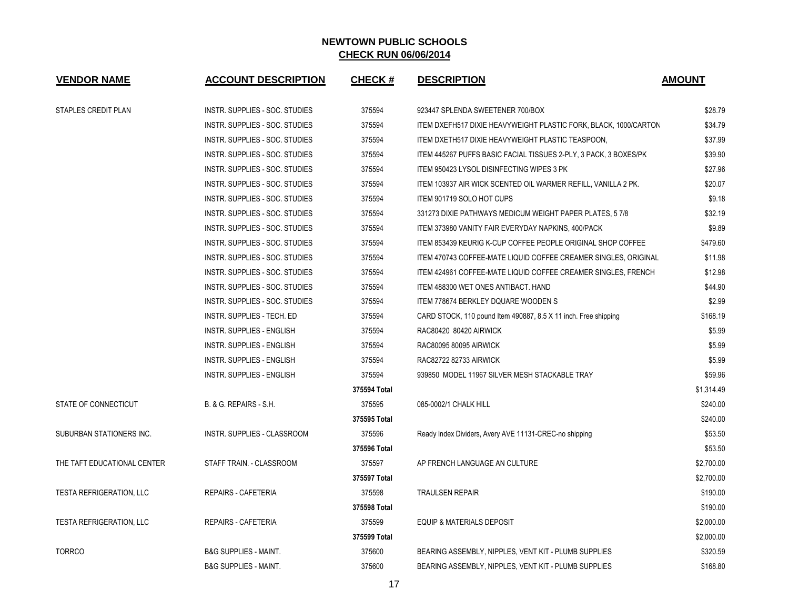| <b>VENDOR NAME</b>              | <b>ACCOUNT DESCRIPTION</b>        | <b>CHECK#</b> | <b>DESCRIPTION</b>                                               | <b>AMOUNT</b> |
|---------------------------------|-----------------------------------|---------------|------------------------------------------------------------------|---------------|
| STAPLES CREDIT PLAN             | INSTR. SUPPLIES - SOC. STUDIES    | 375594        | 923447 SPLENDA SWEETENER 700/BOX                                 | \$28.79       |
|                                 | INSTR. SUPPLIES - SOC. STUDIES    | 375594        | ITEM DXEFH517 DIXIE HEAVYWEIGHT PLASTIC FORK, BLACK, 1000/CARTON | \$34.79       |
|                                 | INSTR. SUPPLIES - SOC. STUDIES    | 375594        | ITEM DXETH517 DIXIE HEAVYWEIGHT PLASTIC TEASPOON,                | \$37.99       |
|                                 | INSTR. SUPPLIES - SOC. STUDIES    | 375594        | ITEM 445267 PUFFS BASIC FACIAL TISSUES 2-PLY, 3 PACK, 3 BOXES/PK | \$39.90       |
|                                 | INSTR. SUPPLIES - SOC. STUDIES    | 375594        | ITEM 950423 LYSOL DISINFECTING WIPES 3 PK                        | \$27.96       |
|                                 | INSTR. SUPPLIES - SOC. STUDIES    | 375594        | ITEM 103937 AIR WICK SCENTED OIL WARMER REFILL, VANILLA 2 PK.    | \$20.07       |
|                                 | INSTR. SUPPLIES - SOC. STUDIES    | 375594        | ITEM 901719 SOLO HOT CUPS                                        | \$9.18        |
|                                 | INSTR. SUPPLIES - SOC. STUDIES    | 375594        | 331273 DIXIE PATHWAYS MEDICUM WEIGHT PAPER PLATES, 5 7/8         | \$32.19       |
|                                 | INSTR. SUPPLIES - SOC. STUDIES    | 375594        | ITEM 373980 VANITY FAIR EVERYDAY NAPKINS, 400/PACK               | \$9.89        |
|                                 | INSTR. SUPPLIES - SOC. STUDIES    | 375594        | ITEM 853439 KEURIG K-CUP COFFEE PEOPLE ORIGINAL SHOP COFFEE      | \$479.60      |
|                                 | INSTR. SUPPLIES - SOC. STUDIES    | 375594        | ITEM 470743 COFFEE-MATE LIQUID COFFEE CREAMER SINGLES, ORIGINAL  | \$11.98       |
|                                 | INSTR. SUPPLIES - SOC. STUDIES    | 375594        | ITEM 424961 COFFEE-MATE LIQUID COFFEE CREAMER SINGLES, FRENCH    | \$12.98       |
|                                 | INSTR. SUPPLIES - SOC. STUDIES    | 375594        | ITEM 488300 WET ONES ANTIBACT. HAND                              | \$44.90       |
|                                 | INSTR. SUPPLIES - SOC. STUDIES    | 375594        | <b>ITEM 778674 BERKLEY DQUARE WOODEN S</b>                       | \$2.99        |
|                                 | <b>INSTR. SUPPLIES - TECH. ED</b> | 375594        | CARD STOCK, 110 pound Item 490887, 8.5 X 11 inch. Free shipping  | \$168.19      |
|                                 | INSTR. SUPPLIES - ENGLISH         | 375594        | RAC80420 80420 AIRWICK                                           | \$5.99        |
|                                 | INSTR. SUPPLIES - ENGLISH         | 375594        | RAC80095 80095 AIRWICK                                           | \$5.99        |
|                                 | INSTR. SUPPLIES - ENGLISH         | 375594        | RAC82722 82733 AIRWICK                                           | \$5.99        |
|                                 | INSTR. SUPPLIES - ENGLISH         | 375594        | 939850 MODEL 11967 SILVER MESH STACKABLE TRAY                    | \$59.96       |
|                                 |                                   | 375594 Total  |                                                                  | \$1,314.49    |
| STATE OF CONNECTICUT            | B. & G. REPAIRS - S.H.            | 375595        | 085-0002/1 CHALK HILL                                            | \$240.00      |
|                                 |                                   | 375595 Total  |                                                                  | \$240.00      |
| <b>SUBURBAN STATIONERS INC.</b> | INSTR. SUPPLIES - CLASSROOM       | 375596        | Ready Index Dividers, Avery AVE 11131-CREC-no shipping           | \$53.50       |
|                                 |                                   | 375596 Total  |                                                                  | \$53.50       |
| THE TAFT EDUCATIONAL CENTER     | STAFF TRAIN. - CLASSROOM          | 375597        | AP FRENCH LANGUAGE AN CULTURE                                    | \$2,700.00    |
|                                 |                                   | 375597 Total  |                                                                  | \$2,700.00    |
| <b>TESTA REFRIGERATION, LLC</b> | <b>REPAIRS - CAFETERIA</b>        | 375598        | <b>TRAULSEN REPAIR</b>                                           | \$190.00      |
|                                 |                                   | 375598 Total  |                                                                  | \$190.00      |
| <b>TESTA REFRIGERATION, LLC</b> | <b>REPAIRS - CAFETERIA</b>        | 375599        | <b>EQUIP &amp; MATERIALS DEPOSIT</b>                             | \$2,000.00    |
|                                 |                                   | 375599 Total  |                                                                  | \$2,000.00    |
| <b>TORRCO</b>                   | <b>B&amp;G SUPPLIES - MAINT.</b>  | 375600        | BEARING ASSEMBLY, NIPPLES, VENT KIT - PLUMB SUPPLIES             | \$320.59      |
|                                 | <b>B&amp;G SUPPLIES - MAINT.</b>  | 375600        | BEARING ASSEMBLY, NIPPLES, VENT KIT - PLUMB SUPPLIES             | \$168.80      |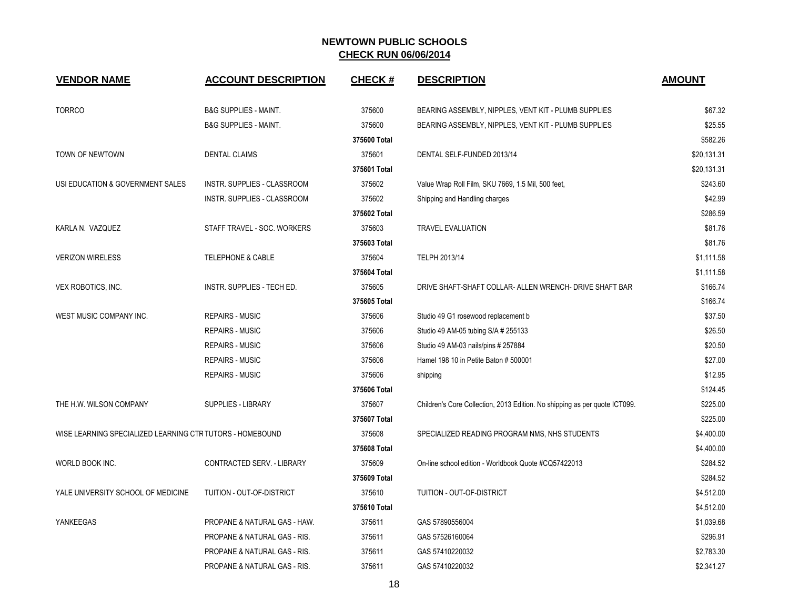| <b>VENDOR NAME</b>                                        | <b>ACCOUNT DESCRIPTION</b>         | <b>CHECK#</b> | <b>DESCRIPTION</b>                                                         | <b>AMOUNT</b> |
|-----------------------------------------------------------|------------------------------------|---------------|----------------------------------------------------------------------------|---------------|
| <b>TORRCO</b>                                             | <b>B&amp;G SUPPLIES - MAINT.</b>   | 375600        | BEARING ASSEMBLY, NIPPLES, VENT KIT - PLUMB SUPPLIES                       | \$67.32       |
|                                                           | <b>B&amp;G SUPPLIES - MAINT.</b>   | 375600        | BEARING ASSEMBLY, NIPPLES, VENT KIT - PLUMB SUPPLIES                       | \$25.55       |
|                                                           |                                    | 375600 Total  |                                                                            | \$582.26      |
| TOWN OF NEWTOWN                                           | <b>DENTAL CLAIMS</b>               | 375601        | DENTAL SELF-FUNDED 2013/14                                                 | \$20,131.31   |
|                                                           |                                    | 375601 Total  |                                                                            | \$20,131.31   |
| USI EDUCATION & GOVERNMENT SALES                          | <b>INSTR. SUPPLIES - CLASSROOM</b> | 375602        | Value Wrap Roll Film, SKU 7669, 1.5 Mil, 500 feet,                         | \$243.60      |
|                                                           | INSTR. SUPPLIES - CLASSROOM        | 375602        | Shipping and Handling charges                                              | \$42.99       |
|                                                           |                                    | 375602 Total  |                                                                            | \$286.59      |
| KARLA N. VAZQUEZ                                          | STAFF TRAVEL - SOC. WORKERS        | 375603        | <b>TRAVEL EVALUATION</b>                                                   | \$81.76       |
|                                                           |                                    | 375603 Total  |                                                                            | \$81.76       |
| <b>VERIZON WIRELESS</b>                                   | <b>TELEPHONE &amp; CABLE</b>       | 375604        | TELPH 2013/14                                                              | \$1,111.58    |
|                                                           |                                    | 375604 Total  |                                                                            | \$1,111.58    |
| VEX ROBOTICS, INC.                                        | INSTR. SUPPLIES - TECH ED.         | 375605        | DRIVE SHAFT-SHAFT COLLAR- ALLEN WRENCH- DRIVE SHAFT BAR                    | \$166.74      |
|                                                           |                                    | 375605 Total  |                                                                            | \$166.74      |
| WEST MUSIC COMPANY INC.                                   | <b>REPAIRS - MUSIC</b>             | 375606        | Studio 49 G1 rosewood replacement b                                        | \$37.50       |
|                                                           | <b>REPAIRS - MUSIC</b>             | 375606        | Studio 49 AM-05 tubing S/A # 255133                                        | \$26.50       |
|                                                           | <b>REPAIRS - MUSIC</b>             | 375606        | Studio 49 AM-03 nails/pins # 257884                                        | \$20.50       |
|                                                           | <b>REPAIRS - MUSIC</b>             | 375606        | Hamel 198 10 in Petite Baton # 500001                                      | \$27.00       |
|                                                           | <b>REPAIRS - MUSIC</b>             | 375606        | shipping                                                                   | \$12.95       |
|                                                           |                                    | 375606 Total  |                                                                            | \$124.45      |
| THE H.W. WILSON COMPANY                                   | <b>SUPPLIES - LIBRARY</b>          | 375607        | Children's Core Collection, 2013 Edition. No shipping as per quote ICT099. | \$225.00      |
|                                                           |                                    | 375607 Total  |                                                                            | \$225.00      |
| WISE LEARNING SPECIALIZED LEARNING CTR TUTORS - HOMEBOUND |                                    | 375608        | SPECIALIZED READING PROGRAM NMS, NHS STUDENTS                              | \$4,400.00    |
|                                                           |                                    | 375608 Total  |                                                                            | \$4,400.00    |
| WORLD BOOK INC.                                           | CONTRACTED SERV. - LIBRARY         | 375609        | On-line school edition - Worldbook Quote #CQ57422013                       | \$284.52      |
|                                                           |                                    | 375609 Total  |                                                                            | \$284.52      |
| YALE UNIVERSITY SCHOOL OF MEDICINE                        | TUITION - OUT-OF-DISTRICT          | 375610        | TUITION - OUT-OF-DISTRICT                                                  | \$4,512.00    |
|                                                           |                                    | 375610 Total  |                                                                            | \$4,512.00    |
| YANKEEGAS                                                 | PROPANE & NATURAL GAS - HAW.       | 375611        | GAS 57890556004                                                            | \$1,039.68    |
|                                                           | PROPANE & NATURAL GAS - RIS.       | 375611        | GAS 57526160064                                                            | \$296.91      |
|                                                           | PROPANE & NATURAL GAS - RIS.       | 375611        | GAS 57410220032                                                            | \$2,783.30    |
|                                                           | PROPANE & NATURAL GAS - RIS.       | 375611        | GAS 57410220032                                                            | \$2,341.27    |